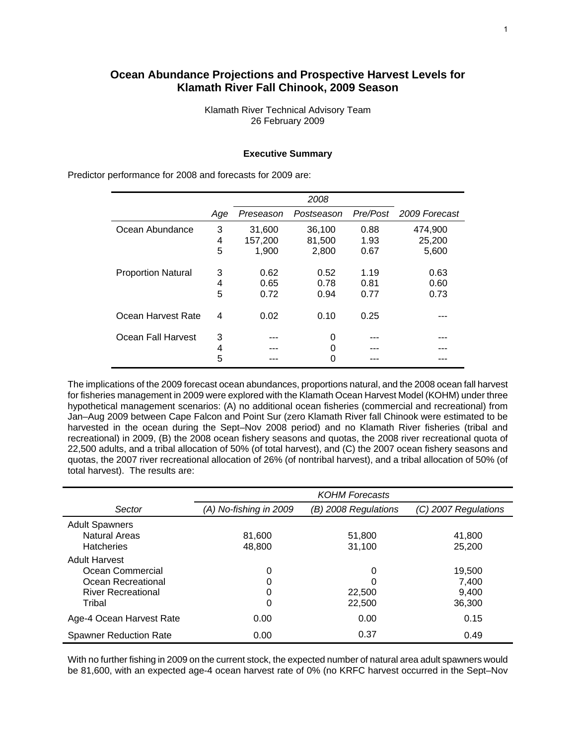# **Ocean Abundance Projections and Prospective Harvest Levels for Klamath River Fall Chinook, 2009 Season**

Klamath River Technical Advisory Team 26 February 2009

### **Executive Summary**

*2008 Age Preseason Postseason Pre/Post 2009 Forecast*  Ocean Abundance 3 31,600 36,100 0.88 474,900 4 157,200 81,500 1.93 25,200 5 1,900 2,800 0.67 5,600 Proportion Natural 3 0.62 0.52 1.19 0.63 4 0.65 0.78 0.81 0.60 5 0.72 0.94 0.77 0.73 Ocean Harvest Rate 4 0.02 0.10 0.25 --- Ocean Fall Harvest 3 --- 0 4 --- 0 --- --- ---5 --- 0 --- --- ---

Predictor performance for 2008 and forecasts for 2009 are:

The implications of the 2009 forecast ocean abundances, proportions natural, and the 2008 ocean fall harvest for fisheries management in 2009 were explored with the Klamath Ocean Harvest Model (KOHM) under three hypothetical management scenarios: (A) no additional ocean fisheries (commercial and recreational) from Jan–Aug 2009 between Cape Falcon and Point Sur (zero Klamath River fall Chinook were estimated to be harvested in the ocean during the Sept–Nov 2008 period) and no Klamath River fisheries (tribal and recreational) in 2009, (B) the 2008 ocean fishery seasons and quotas, the 2008 river recreational quota of 22,500 adults, and a tribal allocation of 50% (of total harvest), and (C) the 2007 ocean fishery seasons and quotas, the 2007 river recreational allocation of 26% (of nontribal harvest), and a tribal allocation of 50% (of total harvest). The results are:

|                               |                        | <b>KOHM Forecasts</b> |                      |
|-------------------------------|------------------------|-----------------------|----------------------|
| Sector                        | (A) No-fishing in 2009 | (B) 2008 Regulations  | (C) 2007 Regulations |
| <b>Adult Spawners</b>         |                        |                       |                      |
| <b>Natural Areas</b>          | 81,600                 | 51,800                | 41,800               |
| <b>Hatcheries</b>             | 48,800                 | 31.100                | 25,200               |
| <b>Adult Harvest</b>          |                        |                       |                      |
| Ocean Commercial              | 0                      | 0                     | 19,500               |
| Ocean Recreational            | 0                      | O                     | 7,400                |
| <b>River Recreational</b>     | 0                      | 22,500                | 9.400                |
| Tribal                        | 0                      | 22,500                | 36,300               |
| Age-4 Ocean Harvest Rate      | 0.00                   | 0.00                  | 0.15                 |
| <b>Spawner Reduction Rate</b> | 0.00                   | 0.37                  | 0.49                 |

With no further fishing in 2009 on the current stock, the expected number of natural area adult spawners would be 81,600, with an expected age-4 ocean harvest rate of 0% (no KRFC harvest occurred in the Sept–Nov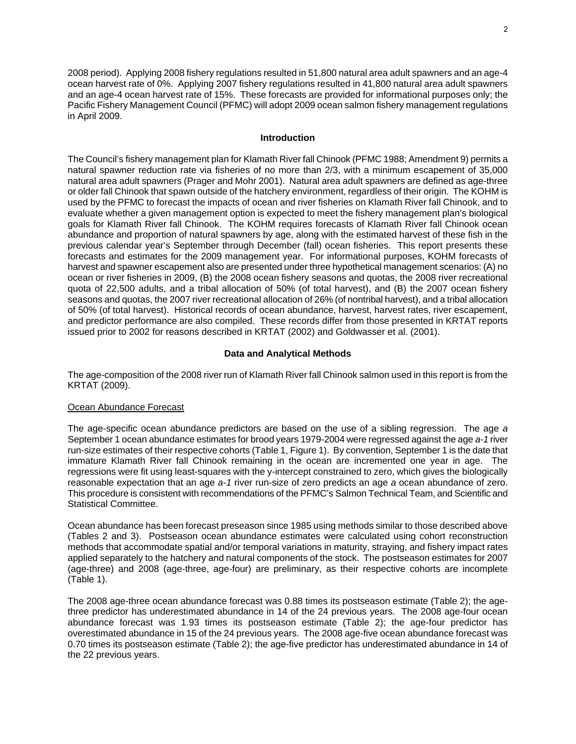2008 period). Applying 2008 fishery regulations resulted in 51,800 natural area adult spawners and an age-4 ocean harvest rate of 0%. Applying 2007 fishery regulations resulted in 41,800 natural area adult spawners and an age-4 ocean harvest rate of 15%. These forecasts are provided for informational purposes only; the Pacific Fishery Management Council (PFMC) will adopt 2009 ocean salmon fishery management regulations in April 2009.

#### **Introduction**

The Council's fishery management plan for Klamath River fall Chinook (PFMC 1988; Amendment 9) permits a natural spawner reduction rate via fisheries of no more than 2/3, with a minimum escapement of 35,000 natural area adult spawners (Prager and Mohr 2001). Natural area adult spawners are defined as age-three or older fall Chinook that spawn outside of the hatchery environment, regardless of their origin. The KOHM is used by the PFMC to forecast the impacts of ocean and river fisheries on Klamath River fall Chinook, and to evaluate whether a given management option is expected to meet the fishery management plan's biological goals for Klamath River fall Chinook. The KOHM requires forecasts of Klamath River fall Chinook ocean abundance and proportion of natural spawners by age, along with the estimated harvest of these fish in the previous calendar year's September through December (fall) ocean fisheries. This report presents these forecasts and estimates for the 2009 management year. For informational purposes, KOHM forecasts of harvest and spawner escapement also are presented under three hypothetical management scenarios: (A) no ocean or river fisheries in 2009, (B) the 2008 ocean fishery seasons and quotas, the 2008 river recreational quota of 22,500 adults, and a tribal allocation of 50% (of total harvest), and (B) the 2007 ocean fishery seasons and quotas, the 2007 river recreational allocation of 26% (of nontribal harvest), and a tribal allocation of 50% (of total harvest). Historical records of ocean abundance, harvest, harvest rates, river escapement, and predictor performance are also compiled. These records differ from those presented in KRTAT reports issued prior to 2002 for reasons described in KRTAT (2002) and Goldwasser et al. (2001).

### **Data and Analytical Methods**

The age-composition of the 2008 river run of Klamath River fall Chinook salmon used in this report is from the KRTAT (2009).

#### Ocean Abundance Forecast

The age-specific ocean abundance predictors are based on the use of a sibling regression. The age *a* September 1 ocean abundance estimates for brood years 1979-2004 were regressed against the age *a-1* river run-size estimates of their respective cohorts (Table 1, Figure 1). By convention, September 1 is the date that immature Klamath River fall Chinook remaining in the ocean are incremented one year in age. The regressions were fit using least-squares with the y-intercept constrained to zero, which gives the biologically reasonable expectation that an age *a-1* river run-size of zero predicts an age *a* ocean abundance of zero. This procedure is consistent with recommendations of the PFMC's Salmon Technical Team, and Scientific and Statistical Committee.

Ocean abundance has been forecast preseason since 1985 using methods similar to those described above (Tables 2 and 3). Postseason ocean abundance estimates were calculated using cohort reconstruction methods that accommodate spatial and/or temporal variations in maturity, straying, and fishery impact rates applied separately to the hatchery and natural components of the stock. The postseason estimates for 2007 (age-three) and 2008 (age-three, age-four) are preliminary, as their respective cohorts are incomplete (Table 1).

The 2008 age-three ocean abundance forecast was 0.88 times its postseason estimate (Table 2); the agethree predictor has underestimated abundance in 14 of the 24 previous years. The 2008 age-four ocean abundance forecast was 1.93 times its postseason estimate (Table 2); the age-four predictor has overestimated abundance in 15 of the 24 previous years. The 2008 age-five ocean abundance forecast was 0.70 times its postseason estimate (Table 2); the age-five predictor has underestimated abundance in 14 of the 22 previous years.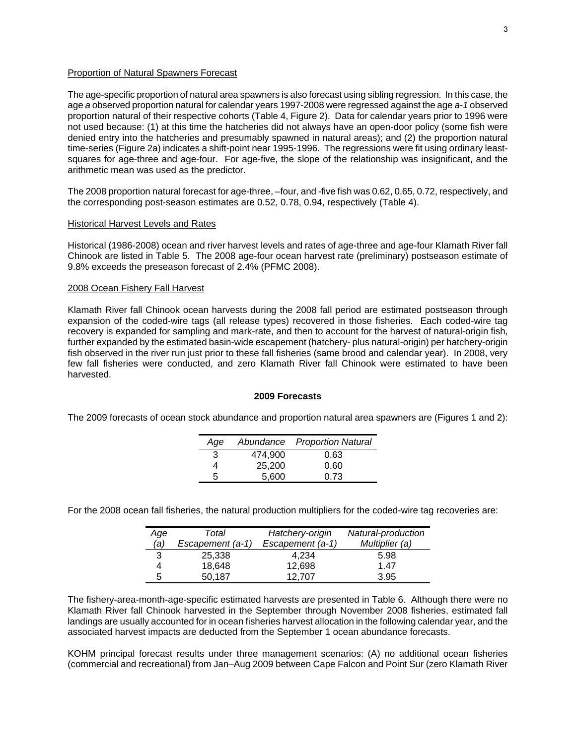## Proportion of Natural Spawners Forecast

The age-specific proportion of natural area spawners is also forecast using sibling regression. In this case, the age *a* observed proportion natural for calendar years 1997-2008 were regressed against the age *a-1* observed proportion natural of their respective cohorts (Table 4, Figure 2). Data for calendar years prior to 1996 were not used because: (1) at this time the hatcheries did not always have an open-door policy (some fish were denied entry into the hatcheries and presumably spawned in natural areas); and (2) the proportion natural time-series (Figure 2a) indicates a shift-point near 1995-1996. The regressions were fit using ordinary leastsquares for age-three and age-four. For age-five, the slope of the relationship was insignificant, and the arithmetic mean was used as the predictor.

The 2008 proportion natural forecast for age-three, –four, and -five fish was 0.62, 0.65, 0.72, respectively, and the corresponding post-season estimates are 0.52, 0.78, 0.94, respectively (Table 4).

#### Historical Harvest Levels and Rates

Historical (1986-2008) ocean and river harvest levels and rates of age-three and age-four Klamath River fall Chinook are listed in Table 5. The 2008 age-four ocean harvest rate (preliminary) postseason estimate of 9.8% exceeds the preseason forecast of 2.4% (PFMC 2008).

### 2008 Ocean Fishery Fall Harvest

Klamath River fall Chinook ocean harvests during the 2008 fall period are estimated postseason through expansion of the coded-wire tags (all release types) recovered in those fisheries. Each coded-wire tag recovery is expanded for sampling and mark-rate, and then to account for the harvest of natural-origin fish, further expanded by the estimated basin-wide escapement (hatchery- plus natural-origin) per hatchery-origin fish observed in the river run just prior to these fall fisheries (same brood and calendar year). In 2008, very few fall fisheries were conducted, and zero Klamath River fall Chinook were estimated to have been harvested.

#### **2009 Forecasts**

The 2009 forecasts of ocean stock abundance and proportion natural area spawners are (Figures 1 and 2):

| Age |         | Abundance Proportion Natural |
|-----|---------|------------------------------|
| 3   | 474.900 | 0.63                         |
|     | 25,200  | 0.60                         |
| 5   | 5.600   | 0.73                         |

For the 2008 ocean fall fisheries, the natural production multipliers for the coded-wire tag recoveries are:

| Age | Total            | Hatchery-origin  | Natural-production |
|-----|------------------|------------------|--------------------|
| (a) | Escapement (a-1) | Escapement (a-1) | Multiplier (a)     |
| 3   | 25,338           | 4.234            | 5.98               |
|     | 18,648           | 12.698           | 1.47               |
| 5   | 50.187           | 12.707           | 3.95               |

The fishery-area-month-age-specific estimated harvests are presented in Table 6. Although there were no Klamath River fall Chinook harvested in the September through November 2008 fisheries, estimated fall landings are usually accounted for in ocean fisheries harvest allocation in the following calendar year, and the associated harvest impacts are deducted from the September 1 ocean abundance forecasts.

KOHM principal forecast results under three management scenarios: (A) no additional ocean fisheries (commercial and recreational) from Jan–Aug 2009 between Cape Falcon and Point Sur (zero Klamath River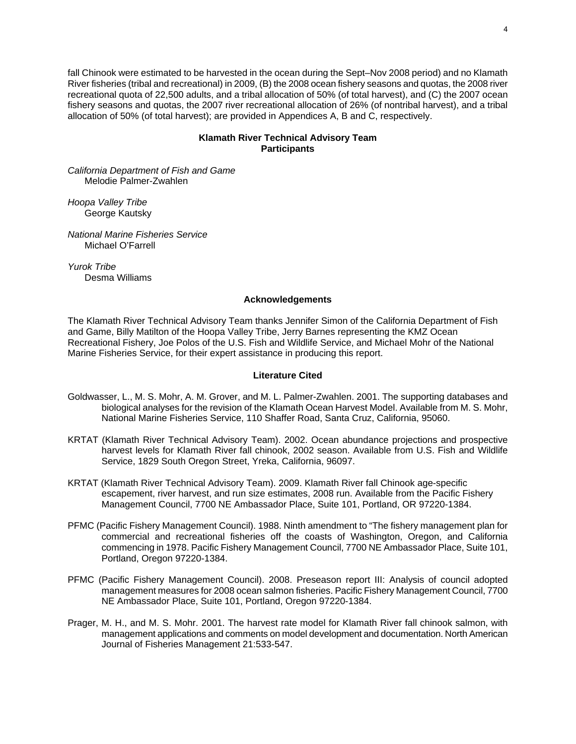fall Chinook were estimated to be harvested in the ocean during the Sept–Nov 2008 period) and no Klamath River fisheries (tribal and recreational) in 2009, (B) the 2008 ocean fishery seasons and quotas, the 2008 river recreational quota of 22,500 adults, and a tribal allocation of 50% (of total harvest), and (C) the 2007 ocean fishery seasons and quotas, the 2007 river recreational allocation of 26% (of nontribal harvest), and a tribal allocation of 50% (of total harvest); are provided in Appendices A, B and C, respectively.

# **Klamath River Technical Advisory Team Participants**

*California Department of Fish and Game*  Melodie Palmer-Zwahlen

*Hoopa Valley Tribe*  George Kautsky

*National Marine Fisheries Service*  Michael O'Farrell

*Yurok Tribe*  Desma Williams

## **Acknowledgements**

The Klamath River Technical Advisory Team thanks Jennifer Simon of the California Department of Fish and Game, Billy Matilton of the Hoopa Valley Tribe, Jerry Barnes representing the KMZ Ocean Recreational Fishery, Joe Polos of the U.S. Fish and Wildlife Service, and Michael Mohr of the National Marine Fisheries Service, for their expert assistance in producing this report.

## **Literature Cited**

- Goldwasser, L., M. S. Mohr, A. M. Grover, and M. L. Palmer-Zwahlen. 2001. The supporting databases and biological analyses for the revision of the Klamath Ocean Harvest Model. Available from M. S. Mohr, National Marine Fisheries Service, 110 Shaffer Road, Santa Cruz, California, 95060.
- KRTAT (Klamath River Technical Advisory Team). 2002. Ocean abundance projections and prospective harvest levels for Klamath River fall chinook, 2002 season. Available from U.S. Fish and Wildlife Service, 1829 South Oregon Street, Yreka, California, 96097.
- KRTAT (Klamath River Technical Advisory Team). 2009. Klamath River fall Chinook age-specific escapement, river harvest, and run size estimates, 2008 run. Available from the Pacific Fishery Management Council, 7700 NE Ambassador Place, Suite 101, Portland, OR 97220-1384.
- PFMC (Pacific Fishery Management Council). 1988. Ninth amendment to "The fishery management plan for commercial and recreational fisheries off the coasts of Washington, Oregon, and California commencing in 1978. Pacific Fishery Management Council, 7700 NE Ambassador Place, Suite 101, Portland, Oregon 97220-1384.
- PFMC (Pacific Fishery Management Council). 2008. Preseason report III: Analysis of council adopted management measures for 2008 ocean salmon fisheries. Pacific Fishery Management Council, 7700 NE Ambassador Place, Suite 101, Portland, Oregon 97220-1384.
- Prager, M. H., and M. S. Mohr. 2001. The harvest rate model for Klamath River fall chinook salmon, with management applications and comments on model development and documentation. North American Journal of Fisheries Management 21:533-547.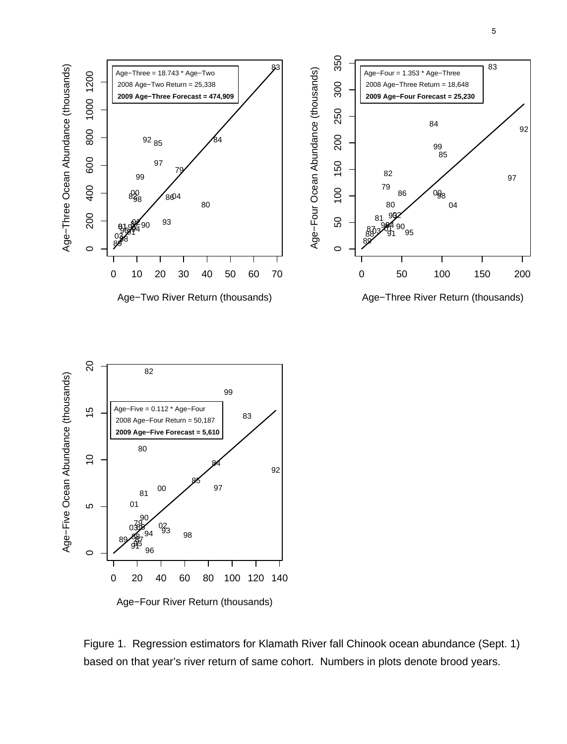



Figure 1. Regression estimators for Klamath River fall Chinook ocean abundance (Sept. 1) based on that year's river return of same cohort. Numbers in plots denote brood years.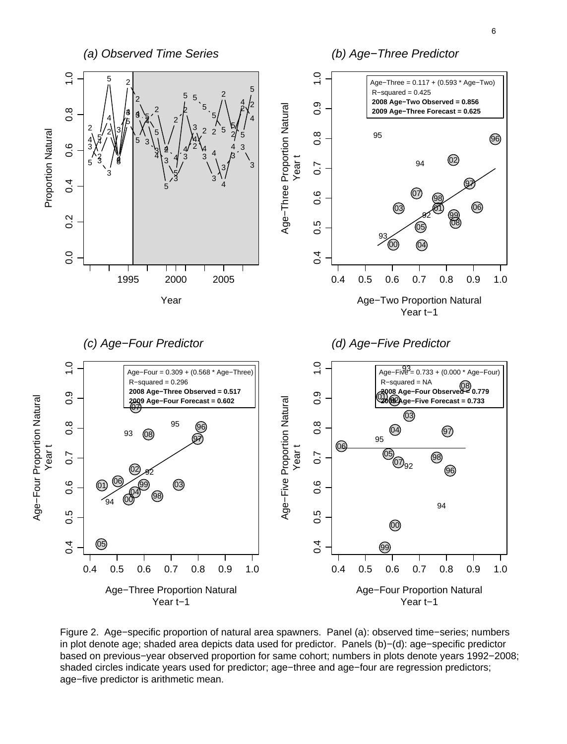

Figure 2. Age−specific proportion of natural area spawners. Panel (a): observed time−series; numbers in plot denote age; shaded area depicts data used for predictor. Panels (b)−(d): age−specific predictor based on previous−year observed proportion for same cohort; numbers in plots denote years 1992−2008; shaded circles indicate years used for predictor; age−three and age−four are regression predictors; age−five predictor is arithmetic mean.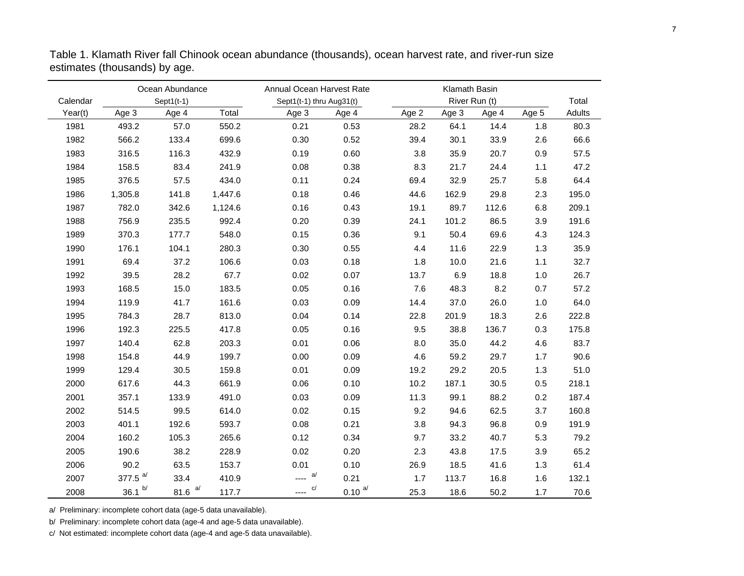| Ocean Abundance |            |               |         | Annual Ocean Harvest Rate |              |       | Klamath Basin |               |       |        |
|-----------------|------------|---------------|---------|---------------------------|--------------|-------|---------------|---------------|-------|--------|
| Calendar        |            | Sept $1(t-1)$ |         | Sept1(t-1) thru Aug31(t)  |              |       |               | River Run (t) |       | Total  |
| Year(t)         | Age 3      | Age 4         | Total   | Age 3                     | Age 4        | Age 2 | Age 3         | Age 4         | Age 5 | Adults |
| 1981            | 493.2      | 57.0          | 550.2   | 0.21                      | 0.53         | 28.2  | 64.1          | 14.4          | 1.8   | 80.3   |
| 1982            | 566.2      | 133.4         | 699.6   | 0.30                      | 0.52         | 39.4  | 30.1          | 33.9          | 2.6   | 66.6   |
| 1983            | 316.5      | 116.3         | 432.9   | 0.19                      | 0.60         | 3.8   | 35.9          | 20.7          | 0.9   | 57.5   |
| 1984            | 158.5      | 83.4          | 241.9   | 0.08                      | 0.38         | 8.3   | 21.7          | 24.4          | 1.1   | 47.2   |
| 1985            | 376.5      | 57.5          | 434.0   | 0.11                      | 0.24         | 69.4  | 32.9          | 25.7          | 5.8   | 64.4   |
| 1986            | 1,305.8    | 141.8         | 1,447.6 | 0.18                      | 0.46         | 44.6  | 162.9         | 29.8          | 2.3   | 195.0  |
| 1987            | 782.0      | 342.6         | 1,124.6 | 0.16                      | 0.43         | 19.1  | 89.7          | 112.6         | 6.8   | 209.1  |
| 1988            | 756.9      | 235.5         | 992.4   | 0.20                      | 0.39         | 24.1  | 101.2         | 86.5          | 3.9   | 191.6  |
| 1989            | 370.3      | 177.7         | 548.0   | 0.15                      | 0.36         | 9.1   | 50.4          | 69.6          | 4.3   | 124.3  |
| 1990            | 176.1      | 104.1         | 280.3   | 0.30                      | 0.55         | 4.4   | 11.6          | 22.9          | 1.3   | 35.9   |
| 1991            | 69.4       | 37.2          | 106.6   | 0.03                      | 0.18         | 1.8   | 10.0          | 21.6          | 1.1   | 32.7   |
| 1992            | 39.5       | 28.2          | 67.7    | 0.02                      | 0.07         | 13.7  | 6.9           | 18.8          | 1.0   | 26.7   |
| 1993            | 168.5      | 15.0          | 183.5   | 0.05                      | 0.16         | 7.6   | 48.3          | 8.2           | 0.7   | 57.2   |
| 1994            | 119.9      | 41.7          | 161.6   | 0.03                      | 0.09         | 14.4  | 37.0          | 26.0          | 1.0   | 64.0   |
| 1995            | 784.3      | 28.7          | 813.0   | 0.04                      | 0.14         | 22.8  | 201.9         | 18.3          | 2.6   | 222.8  |
| 1996            | 192.3      | 225.5         | 417.8   | 0.05                      | 0.16         | 9.5   | 38.8          | 136.7         | 0.3   | 175.8  |
| 1997            | 140.4      | 62.8          | 203.3   | 0.01                      | 0.06         | 8.0   | 35.0          | 44.2          | 4.6   | 83.7   |
| 1998            | 154.8      | 44.9          | 199.7   | 0.00                      | 0.09         | 4.6   | 59.2          | 29.7          | 1.7   | 90.6   |
| 1999            | 129.4      | 30.5          | 159.8   | 0.01                      | 0.09         | 19.2  | 29.2          | 20.5          | 1.3   | 51.0   |
| 2000            | 617.6      | 44.3          | 661.9   | 0.06                      | 0.10         | 10.2  | 187.1         | 30.5          | 0.5   | 218.1  |
| 2001            | 357.1      | 133.9         | 491.0   | 0.03                      | 0.09         | 11.3  | 99.1          | 88.2          | 0.2   | 187.4  |
| 2002            | 514.5      | 99.5          | 614.0   | 0.02                      | 0.15         | 9.2   | 94.6          | 62.5          | 3.7   | 160.8  |
| 2003            | 401.1      | 192.6         | 593.7   | 0.08                      | 0.21         | 3.8   | 94.3          | 96.8          | 0.9   | 191.9  |
| 2004            | 160.2      | 105.3         | 265.6   | 0.12                      | 0.34         | 9.7   | 33.2          | 40.7          | 5.3   | 79.2   |
| 2005            | 190.6      | 38.2          | 228.9   | 0.02                      | 0.20         | 2.3   | 43.8          | 17.5          | 3.9   | 65.2   |
| 2006            | 90.2       | 63.5          | 153.7   | 0.01                      | 0.10         | 26.9  | 18.5          | 41.6          | 1.3   | 61.4   |
| 2007            | 377.5 $a/$ | 33.4          | 410.9   | a<br>$\overline{a}$       | 0.21         | 1.7   | 113.7         | 16.8          | 1.6   | 132.1  |
| 2008            | 36.1 h     | 81.6 $a/$     | 117.7   | C/<br>----                | $0.10^{a/2}$ | 25.3  | 18.6          | 50.2          | 1.7   | 70.6   |

Table 1. Klamath River fall Chinook ocean abundance (thousands), ocean harvest rate, and river-run size estimates (thousands) by age.

a/ Preliminary: incomplete cohort data (age-5 data unavailable).

b/ Preliminary: incomplete cohort data (age-4 and age-5 data unavailable).

c/ Not estimated: incomplete cohort data (age-4 and age-5 data unavailable).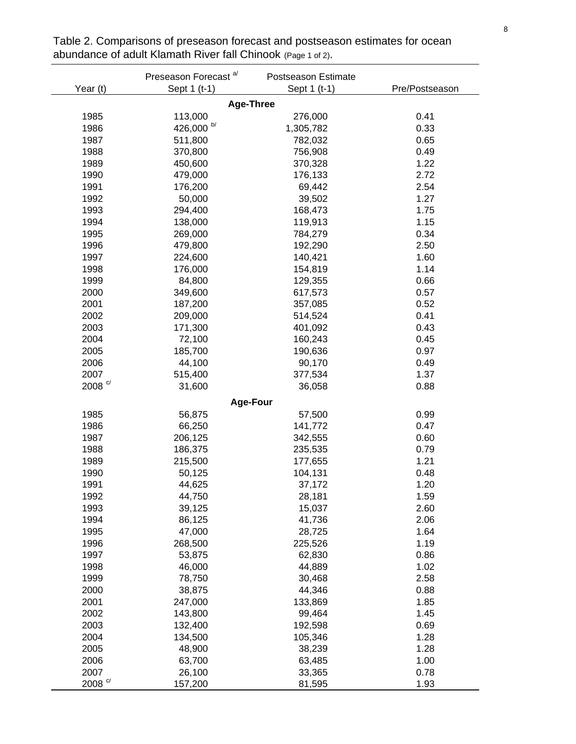|                         | Preseason Forecast <sup>a/</sup> | Postseason Estimate |                |
|-------------------------|----------------------------------|---------------------|----------------|
| Year (t)                | Sept 1 (t-1)                     | Sept 1 (t-1)        | Pre/Postseason |
|                         | <b>Age-Three</b>                 |                     |                |
| 1985                    | 113,000                          | 276,000             | 0.41           |
| 1986                    | $426{,}000$ $^{\mathrm{b/}}$     | 1,305,782           | 0.33           |
| 1987                    | 511,800                          | 782,032             | 0.65           |
| 1988                    | 370,800                          | 756,908             | 0.49           |
| 1989                    | 450,600                          | 370,328             | 1.22           |
| 1990                    | 479,000                          | 176,133             | 2.72           |
| 1991                    | 176,200                          | 69,442              | 2.54           |
| 1992                    | 50,000                           | 39,502              | 1.27           |
| 1993                    | 294,400                          | 168,473             | 1.75           |
| 1994                    | 138,000                          | 119,913             | 1.15           |
| 1995                    | 269,000                          | 784,279             | 0.34           |
| 1996                    | 479,800                          | 192,290             | 2.50           |
| 1997                    | 224,600                          | 140,421             | 1.60           |
| 1998                    | 176,000                          | 154,819             | 1.14           |
| 1999                    | 84,800                           | 129,355             | 0.66           |
| 2000                    | 349,600                          | 617,573             | 0.57           |
| 2001                    | 187,200                          | 357,085             | 0.52           |
| 2002                    | 209,000                          | 514,524             | 0.41           |
| 2003                    | 171,300                          | 401,092             | 0.43           |
| 2004                    | 72,100                           | 160,243             | 0.45           |
| 2005                    | 185,700                          | 190,636             | 0.97           |
| 2006                    | 44,100                           | 90,170              | 0.49           |
| 2007                    | 515,400                          | 377,534             | 1.37           |
| $2008$ $^{\circ\prime}$ | 31,600                           | 36,058              | 0.88           |
|                         | Age-Four                         |                     |                |
| 1985                    | 56,875                           | 57,500              | 0.99           |
| 1986                    | 66,250                           | 141,772             | 0.47           |
| 1987                    | 206,125                          | 342,555             | 0.60           |
| 1988                    | 186,375                          | 235,535             | 0.79           |
| 1989                    | 215,500                          | 177,655             | 1.21           |
| 1990                    | 50,125                           | 104,131             | 0.48           |
| 1991                    | 44,625                           | 37,172              | 1.20           |
| 1992                    | 44,750                           | 28,181              | 1.59           |
| 1993                    | 39,125                           | 15,037              | 2.60           |
| 1994                    | 86,125                           | 41,736              | 2.06           |
| 1995                    | 47,000                           | 28,725              | 1.64           |
| 1996                    | 268,500                          | 225,526             | 1.19           |
| 1997                    | 53,875                           | 62,830              | 0.86           |
| 1998                    | 46,000                           | 44,889              | 1.02           |
| 1999                    | 78,750                           | 30,468              | 2.58           |
| 2000                    | 38,875                           | 44,346              | 0.88           |
| 2001                    | 247,000                          | 133,869             | 1.85           |
| 2002                    | 143,800                          | 99,464              | 1.45           |
| 2003                    | 132,400                          | 192,598             | 0.69           |
| 2004                    | 134,500                          | 105,346             | 1.28           |
| 2005                    | 48,900                           | 38,239              | 1.28           |
| 2006                    | 63,700                           | 63,485              | 1.00           |
| 2007                    | 26,100                           | 33,365              | 0.78           |
| $2008$ $^{\circ\prime}$ | 157,200                          | 81,595              | 1.93           |

Table 2. Comparisons of preseason forecast and postseason estimates for ocean abundance of adult Klamath River fall Chinook (Page 1 of 2).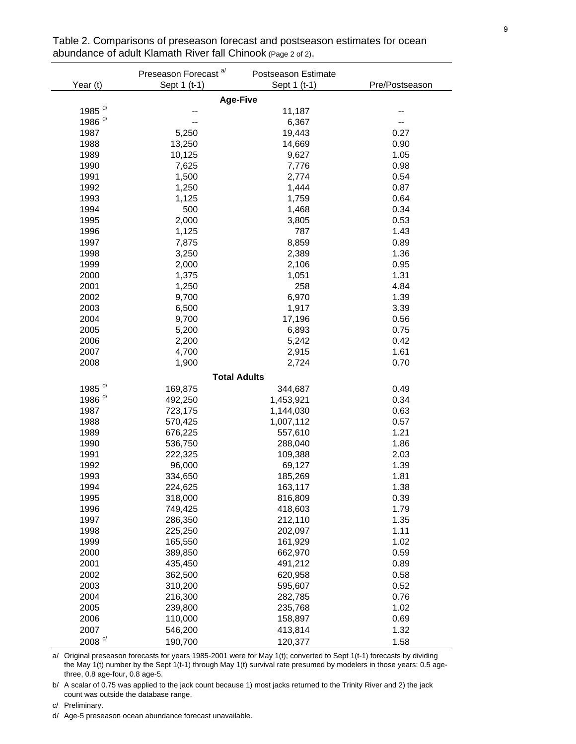| Sept 1 (t-1)<br>Year (t)<br>Sept 1 (t-1)<br>Pre/Postseason<br><b>Age-Five</b> |  |
|-------------------------------------------------------------------------------|--|
|                                                                               |  |
|                                                                               |  |
| 1985 <sup>d/</sup><br>11,187                                                  |  |
| 1986 <sup>d/</sup><br>6,367<br>--                                             |  |
| 1987<br>19,443<br>0.27<br>5,250                                               |  |
| 1988<br>13,250<br>0.90<br>14,669                                              |  |
| 1989<br>9,627<br>1.05<br>10,125                                               |  |
| 1990<br>7,776<br>0.98<br>7,625                                                |  |
| 1991<br>2,774<br>0.54<br>1,500                                                |  |
| 1992<br>0.87<br>1,250<br>1,444                                                |  |
| 1993<br>1,125<br>1,759<br>0.64                                                |  |
| 1994<br>0.34<br>500<br>1,468                                                  |  |
| 1995<br>0.53<br>2,000<br>3,805                                                |  |
| 1996<br>787<br>1.43<br>1,125                                                  |  |
| 1997<br>0.89<br>7,875<br>8,859                                                |  |
| 1998<br>1.36<br>3,250<br>2,389                                                |  |
| 1999<br>2,106<br>0.95<br>2,000                                                |  |
| 1.31<br>2000<br>1,375<br>1,051                                                |  |
| 1,250<br>258<br>4.84<br>2001                                                  |  |
| 2002<br>9,700<br>6,970<br>1.39                                                |  |
| 2003<br>1,917<br>3.39<br>6,500                                                |  |
| 2004<br>9,700<br>17,196<br>0.56                                               |  |
| 2005<br>0.75<br>5,200<br>6,893                                                |  |
| 2006<br>0.42<br>2,200<br>5,242                                                |  |
| 2007<br>1.61<br>4,700<br>2,915                                                |  |
| 0.70<br>2008<br>1,900<br>2,724                                                |  |
| <b>Total Adults</b>                                                           |  |
| 1985 <sup>d/</sup><br>169,875<br>344,687<br>0.49                              |  |
| 1986 <sup>d/</sup><br>0.34<br>492,250<br>1,453,921                            |  |
| 1987<br>723,175<br>1,144,030<br>0.63                                          |  |
| 1988<br>570,425<br>1,007,112<br>0.57                                          |  |
| 557,610<br>1.21<br>1989<br>676,225                                            |  |
| 1.86<br>1990<br>536,750<br>288,040                                            |  |
| 1991<br>222,325<br>109,388<br>2.03                                            |  |
| 1992<br>1.39<br>96,000<br>69,127                                              |  |
| 1993<br>334,650<br>185,269<br>1.81                                            |  |
| 1994<br>224,625<br>163,117<br>1.38                                            |  |
| 1995<br>0.39<br>318,000<br>816,809                                            |  |
| 1996<br>1.79<br>749,425<br>418,603                                            |  |
| 1997<br>1.35<br>286,350<br>212,110                                            |  |
| 1.11<br>1998<br>225,250<br>202,097                                            |  |
| 1999<br>1.02<br>165,550<br>161,929                                            |  |
| 2000<br>0.59<br>389,850<br>662,970                                            |  |
| 2001<br>491,212<br>0.89<br>435,450                                            |  |
| 2002<br>0.58<br>362,500<br>620,958                                            |  |
| 2003<br>310,200<br>0.52<br>595,607                                            |  |
| 2004<br>0.76<br>216,300<br>282,785                                            |  |
| 1.02<br>2005<br>239,800<br>235,768                                            |  |
| 2006<br>110,000<br>158,897<br>0.69                                            |  |
| 1.32<br>2007<br>546,200<br>413,814                                            |  |
| $2008$ $^{\mathrm{c/}}$<br>190,700<br>120,377<br>1.58                         |  |

Table 2. Comparisons of preseason forecast and postseason estimates for ocean abundance of adult Klamath River fall Chinook (Page 2 of 2).

a/ Original preseason forecasts for years 1985-2001 were for May 1(t); converted to Sept 1(t-1) forecasts by dividing the May 1(t) number by the Sept 1(t-1) through May 1(t) survival rate presumed by modelers in those years: 0.5 agethree, 0.8 age-four, 0.8 age-5.

b/ A scalar of 0.75 was applied to the jack count because 1) most jacks returned to the Trinity River and 2) the jack count was outside the database range.

c/ Preliminary.

d/ Age-5 preseason ocean abundance forecast unavailable.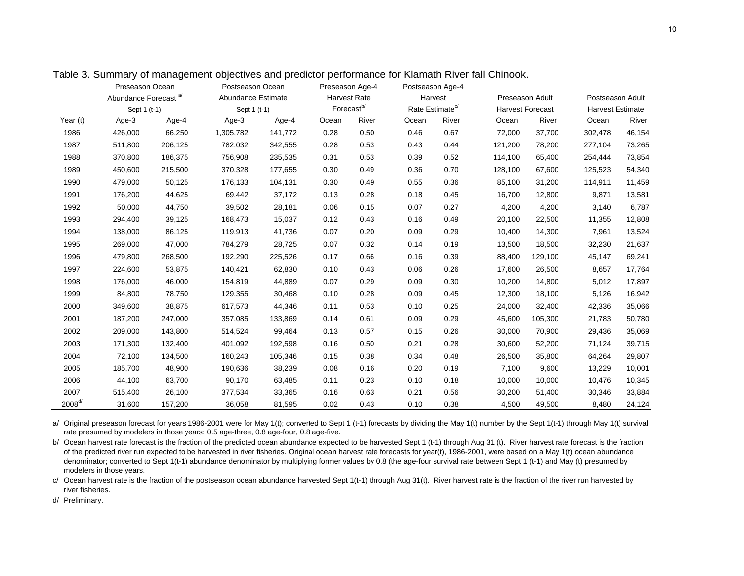|             | Preseason Ocean                  |         | Postseason Ocean   |         |                        |       | Postseason Age-4            |       |                 |                  |                  |                         |  |
|-------------|----------------------------------|---------|--------------------|---------|------------------------|-------|-----------------------------|-------|-----------------|------------------|------------------|-------------------------|--|
|             | Abundance Forecast <sup>a/</sup> |         | Abundance Estimate |         | <b>Harvest Rate</b>    |       | Harvest                     |       | Preseason Adult |                  | Postseason Adult |                         |  |
|             | Sept 1 (t-1)                     |         | Sept 1 (t-1)       |         | Forecast <sup>b/</sup> |       | Rate Estimate <sup>c/</sup> |       |                 | Harvest Forecast |                  | <b>Harvest Estimate</b> |  |
| Year (t)    | Age-3                            | Age-4   | Age-3              | Age-4   | Ocean                  | River | Ocean                       | River | Ocean           | River            | Ocean            | River                   |  |
| 1986        | 426,000                          | 66,250  | 1,305,782          | 141,772 | 0.28                   | 0.50  | 0.46                        | 0.67  | 72,000          | 37,700           | 302,478          | 46,154                  |  |
| 1987        | 511,800                          | 206,125 | 782,032            | 342,555 | 0.28                   | 0.53  | 0.43                        | 0.44  | 121,200         | 78,200           | 277,104          | 73,265                  |  |
| 1988        | 370,800                          | 186,375 | 756,908            | 235,535 | 0.31                   | 0.53  | 0.39                        | 0.52  | 114,100         | 65,400           | 254,444          | 73,854                  |  |
| 1989        | 450,600                          | 215,500 | 370,328            | 177,655 | 0.30                   | 0.49  | 0.36                        | 0.70  | 128,100         | 67,600           | 125,523          | 54,340                  |  |
| 1990        | 479,000                          | 50,125  | 176,133            | 104,131 | 0.30                   | 0.49  | 0.55                        | 0.36  | 85,100          | 31,200           | 114,911          | 11,459                  |  |
| 1991        | 176,200                          | 44,625  | 69,442             | 37,172  | 0.13                   | 0.28  | 0.18                        | 0.45  | 16,700          | 12,800           | 9,871            | 13,581                  |  |
| 1992        | 50,000                           | 44,750  | 39,502             | 28,181  | 0.06                   | 0.15  | 0.07                        | 0.27  | 4,200           | 4,200            | 3,140            | 6,787                   |  |
| 1993        | 294,400                          | 39,125  | 168,473            | 15,037  | 0.12                   | 0.43  | 0.16                        | 0.49  | 20,100          | 22,500           | 11,355           | 12,808                  |  |
| 1994        | 138,000                          | 86,125  | 119,913            | 41,736  | 0.07                   | 0.20  | 0.09                        | 0.29  | 10,400          | 14,300           | 7,961            | 13,524                  |  |
| 1995        | 269,000                          | 47,000  | 784,279            | 28,725  | 0.07                   | 0.32  | 0.14                        | 0.19  | 13,500          | 18,500           | 32,230           | 21,637                  |  |
| 1996        | 479,800                          | 268,500 | 192,290            | 225,526 | 0.17                   | 0.66  | 0.16                        | 0.39  | 88,400          | 129,100          | 45,147           | 69,241                  |  |
| 1997        | 224,600                          | 53,875  | 140,421            | 62,830  | 0.10                   | 0.43  | 0.06                        | 0.26  | 17,600          | 26,500           | 8,657            | 17,764                  |  |
| 1998        | 176,000                          | 46,000  | 154,819            | 44,889  | 0.07                   | 0.29  | 0.09                        | 0.30  | 10,200          | 14,800           | 5,012            | 17,897                  |  |
| 1999        | 84,800                           | 78,750  | 129,355            | 30,468  | 0.10                   | 0.28  | 0.09                        | 0.45  | 12,300          | 18,100           | 5,126            | 16,942                  |  |
| 2000        | 349,600                          | 38,875  | 617,573            | 44,346  | 0.11                   | 0.53  | 0.10                        | 0.25  | 24,000          | 32,400           | 42,336           | 35,066                  |  |
| 2001        | 187,200                          | 247,000 | 357,085            | 133,869 | 0.14                   | 0.61  | 0.09                        | 0.29  | 45,600          | 105,300          | 21,783           | 50,780                  |  |
| 2002        | 209,000                          | 143,800 | 514,524            | 99,464  | 0.13                   | 0.57  | 0.15                        | 0.26  | 30,000          | 70,900           | 29,436           | 35,069                  |  |
| 2003        | 171,300                          | 132,400 | 401,092            | 192,598 | 0.16                   | 0.50  | 0.21                        | 0.28  | 30,600          | 52,200           | 71,124           | 39,715                  |  |
| 2004        | 72,100                           | 134,500 | 160,243            | 105,346 | 0.15                   | 0.38  | 0.34                        | 0.48  | 26,500          | 35,800           | 64,264           | 29,807                  |  |
| 2005        | 185,700                          | 48,900  | 190,636            | 38,239  | 0.08                   | 0.16  | 0.20                        | 0.19  | 7,100           | 9,600            | 13,229           | 10,001                  |  |
| 2006        | 44,100                           | 63,700  | 90,170             | 63,485  | 0.11                   | 0.23  | 0.10                        | 0.18  | 10,000          | 10,000           | 10,476           | 10,345                  |  |
| 2007        | 515,400                          | 26,100  | 377,534            | 33,365  | 0.16                   | 0.63  | 0.21                        | 0.56  | 30,200          | 51,400           | 30,346           | 33,884                  |  |
| $2008^{d/}$ | 31,600                           | 157,200 | 36,058             | 81,595  | 0.02                   | 0.43  | 0.10                        | 0.38  | 4,500           | 49,500           | 8,480            | 24,124                  |  |

Table 3. Summary of management objectives and predictor performance for Klamath River fall Chinook.

a/ Original preseason forecast for years 1986-2001 were for May 1(t); converted to Sept 1 (t-1) forecasts by dividing the May 1(t) number by the Sept 1(t-1) through May 1(t) survival rate presumed by modelers in those years: 0.5 age-three, 0.8 age-four, 0.8 age-five.

b/ Ocean harvest rate forecast is the fraction of the predicted ocean abundance expected to be harvested Sept 1 (t-1) through Aug 31 (t). River harvest rate forecast is the fraction of the predicted river run expected to be harvested in river fisheries. Original ocean harvest rate forecasts for year(t), 1986-2001, were based on a May 1(t) ocean abundance denominator; converted to Sept 1(t-1) abundance denominator by multiplying former values by 0.8 (the age-four survival rate between Sept 1 (t-1) and May (t) presumed by modelers in those years.

c/ Ocean harvest rate is the fraction of the postseason ocean abundance harvested Sept 1(t-1) through Aug 31(t). River harvest rate is the fraction of the river run harvested by river fisheries.

d/ Preliminary.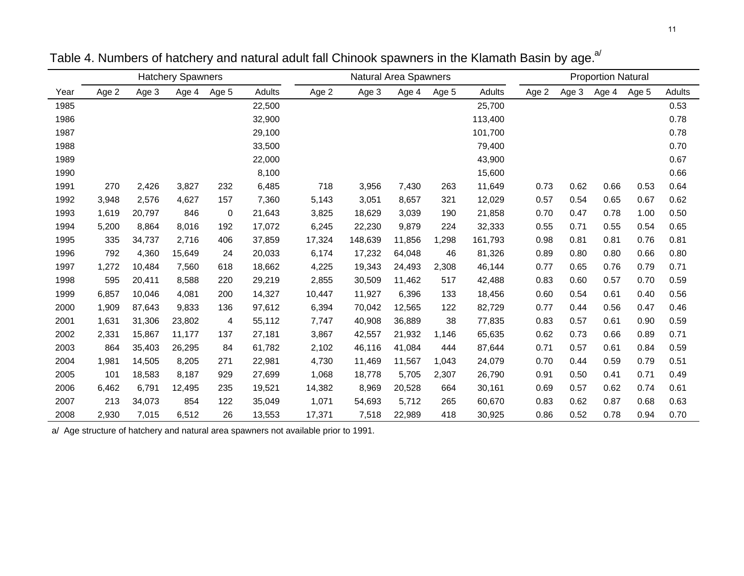|      |       |        | <b>Hatchery Spawners</b> |       |        | <b>Natural Area Spawners</b> |         |        |       | <b>Proportion Natural</b> |       |       |       |       |        |
|------|-------|--------|--------------------------|-------|--------|------------------------------|---------|--------|-------|---------------------------|-------|-------|-------|-------|--------|
| Year | Age 2 | Age 3  | Age 4                    | Age 5 | Adults | Age 2                        | Age 3   | Age 4  | Age 5 | <b>Adults</b>             | Age 2 | Age 3 | Age 4 | Age 5 | Adults |
| 1985 |       |        |                          |       | 22,500 |                              |         |        |       | 25,700                    |       |       |       |       | 0.53   |
| 1986 |       |        |                          |       | 32,900 |                              |         |        |       | 113,400                   |       |       |       |       | 0.78   |
| 1987 |       |        |                          |       | 29,100 |                              |         |        |       | 101,700                   |       |       |       |       | 0.78   |
| 1988 |       |        |                          |       | 33,500 |                              |         |        |       | 79,400                    |       |       |       |       | 0.70   |
| 1989 |       |        |                          |       | 22,000 |                              |         |        |       | 43,900                    |       |       |       |       | 0.67   |
| 1990 |       |        |                          |       | 8,100  |                              |         |        |       | 15,600                    |       |       |       |       | 0.66   |
| 1991 | 270   | 2,426  | 3,827                    | 232   | 6,485  | 718                          | 3,956   | 7,430  | 263   | 11,649                    | 0.73  | 0.62  | 0.66  | 0.53  | 0.64   |
| 1992 | 3,948 | 2,576  | 4,627                    | 157   | 7,360  | 5,143                        | 3,051   | 8,657  | 321   | 12,029                    | 0.57  | 0.54  | 0.65  | 0.67  | 0.62   |
| 1993 | 1,619 | 20,797 | 846                      | 0     | 21,643 | 3,825                        | 18,629  | 3,039  | 190   | 21,858                    | 0.70  | 0.47  | 0.78  | 1.00  | 0.50   |
| 1994 | 5,200 | 8,864  | 8,016                    | 192   | 17,072 | 6,245                        | 22,230  | 9,879  | 224   | 32,333                    | 0.55  | 0.71  | 0.55  | 0.54  | 0.65   |
| 1995 | 335   | 34,737 | 2,716                    | 406   | 37,859 | 17,324                       | 148,639 | 11,856 | 1,298 | 161,793                   | 0.98  | 0.81  | 0.81  | 0.76  | 0.81   |
| 1996 | 792   | 4,360  | 15,649                   | 24    | 20,033 | 6,174                        | 17,232  | 64,048 | 46    | 81,326                    | 0.89  | 0.80  | 0.80  | 0.66  | 0.80   |
| 1997 | 1,272 | 10,484 | 7,560                    | 618   | 18,662 | 4,225                        | 19,343  | 24,493 | 2,308 | 46,144                    | 0.77  | 0.65  | 0.76  | 0.79  | 0.71   |
| 1998 | 595   | 20,411 | 8,588                    | 220   | 29,219 | 2,855                        | 30,509  | 11,462 | 517   | 42,488                    | 0.83  | 0.60  | 0.57  | 0.70  | 0.59   |
| 1999 | 6,857 | 10,046 | 4,081                    | 200   | 14,327 | 10,447                       | 11,927  | 6,396  | 133   | 18,456                    | 0.60  | 0.54  | 0.61  | 0.40  | 0.56   |
| 2000 | 1,909 | 87,643 | 9,833                    | 136   | 97,612 | 6,394                        | 70,042  | 12,565 | 122   | 82,729                    | 0.77  | 0.44  | 0.56  | 0.47  | 0.46   |
| 2001 | 1,631 | 31,306 | 23,802                   | 4     | 55,112 | 7,747                        | 40,908  | 36,889 | 38    | 77,835                    | 0.83  | 0.57  | 0.61  | 0.90  | 0.59   |
| 2002 | 2,331 | 15,867 | 11,177                   | 137   | 27,181 | 3,867                        | 42,557  | 21,932 | 1,146 | 65,635                    | 0.62  | 0.73  | 0.66  | 0.89  | 0.71   |
| 2003 | 864   | 35,403 | 26,295                   | 84    | 61,782 | 2,102                        | 46,116  | 41,084 | 444   | 87,644                    | 0.71  | 0.57  | 0.61  | 0.84  | 0.59   |
| 2004 | 1,981 | 14,505 | 8,205                    | 271   | 22,981 | 4,730                        | 11,469  | 11,567 | 1,043 | 24,079                    | 0.70  | 0.44  | 0.59  | 0.79  | 0.51   |
| 2005 | 101   | 18,583 | 8,187                    | 929   | 27,699 | 1,068                        | 18,778  | 5,705  | 2,307 | 26,790                    | 0.91  | 0.50  | 0.41  | 0.71  | 0.49   |
| 2006 | 6,462 | 6,791  | 12,495                   | 235   | 19,521 | 14,382                       | 8,969   | 20,528 | 664   | 30,161                    | 0.69  | 0.57  | 0.62  | 0.74  | 0.61   |
| 2007 | 213   | 34,073 | 854                      | 122   | 35,049 | 1,071                        | 54,693  | 5,712  | 265   | 60,670                    | 0.83  | 0.62  | 0.87  | 0.68  | 0.63   |
| 2008 | 2,930 | 7,015  | 6,512                    | 26    | 13,553 | 17,371                       | 7,518   | 22,989 | 418   | 30,925                    | 0.86  | 0.52  | 0.78  | 0.94  | 0.70   |

Table 4. Numbers of hatchery and natural adult fall Chinook spawners in the Klamath Basin by age.<sup>a/</sup>

a/ Age structure of hatchery and natural area spawners not available prior to 1991.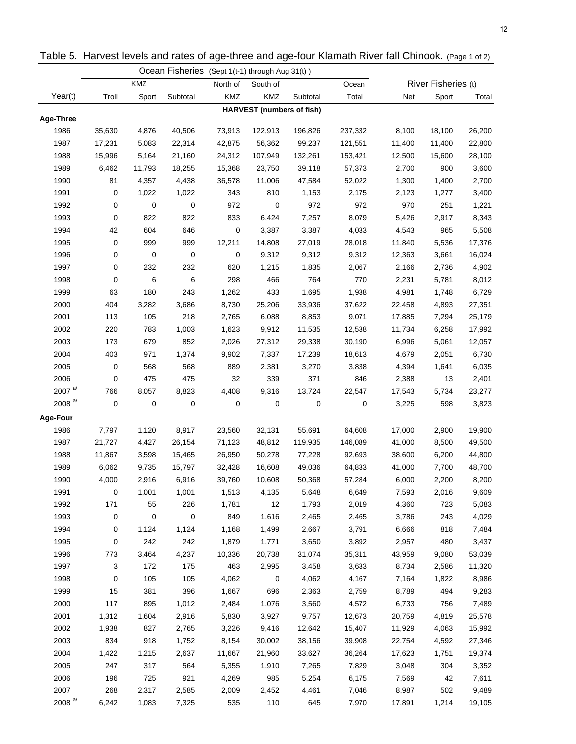|                      |           |        | Ocean Fisheries (Sept 1(t-1) through Aug 31(t)) |          |                                  |          |         |        |                     |        |
|----------------------|-----------|--------|-------------------------------------------------|----------|----------------------------------|----------|---------|--------|---------------------|--------|
|                      |           | KMZ    |                                                 | North of | South of                         |          | Ocean   |        | River Fisheries (t) |        |
| Year(t)              | Troll     | Sport  | Subtotal                                        | KMZ      | KMZ                              | Subtotal | Total   | Net    | Sport               | Total  |
| Age-Three            |           |        |                                                 |          | <b>HARVEST</b> (numbers of fish) |          |         |        |                     |        |
| 1986                 | 35,630    | 4,876  | 40,506                                          | 73,913   | 122,913                          | 196,826  | 237,332 | 8,100  | 18,100              | 26,200 |
| 1987                 | 17,231    | 5,083  | 22,314                                          | 42,875   | 56,362                           | 99,237   | 121,551 | 11,400 | 11,400              | 22,800 |
| 1988                 | 15,996    | 5,164  | 21,160                                          | 24,312   | 107,949                          | 132,261  | 153,421 | 12,500 | 15,600              | 28,100 |
| 1989                 | 6,462     | 11,793 | 18,255                                          | 15,368   | 23,750                           | 39,118   | 57,373  | 2,700  | 900                 | 3,600  |
| 1990                 | 81        | 4,357  | 4,438                                           | 36,578   | 11,006                           | 47,584   | 52,022  | 1,300  | 1,400               | 2,700  |
| 1991                 | 0         | 1,022  | 1,022                                           | 343      | 810                              | 1,153    | 2,175   | 2,123  | 1,277               | 3,400  |
| 1992                 | 0         | 0      | 0                                               | 972      | 0                                | 972      | 972     | 970    | 251                 | 1,221  |
| 1993                 | 0         | 822    | 822                                             | 833      | 6,424                            | 7,257    | 8,079   | 5,426  | 2,917               | 8,343  |
| 1994                 | 42        | 604    | 646                                             | 0        | 3,387                            | 3,387    | 4,033   | 4,543  | 965                 | 5,508  |
| 1995                 | 0         | 999    | 999                                             | 12,211   | 14,808                           | 27,019   | 28,018  | 11,840 | 5,536               | 17,376 |
| 1996                 | 0         | 0      | 0                                               | 0        | 9,312                            | 9,312    | 9,312   | 12,363 | 3,661               | 16,024 |
| 1997                 | 0         | 232    | 232                                             | 620      | 1,215                            | 1,835    | 2,067   | 2,166  | 2,736               | 4,902  |
| 1998                 | 0         | 6      | 6                                               | 298      | 466                              | 764      | 770     | 2,231  | 5,781               | 8,012  |
| 1999                 | 63        | 180    | 243                                             | 1,262    | 433                              | 1,695    | 1,938   | 4,981  | 1,748               | 6,729  |
| 2000                 | 404       | 3,282  | 3,686                                           | 8,730    | 25,206                           | 33,936   | 37,622  | 22,458 | 4,893               | 27,351 |
| 2001                 | 113       | 105    | 218                                             | 2,765    | 6,088                            | 8,853    | 9,071   | 17,885 | 7,294               | 25,179 |
| 2002                 | 220       | 783    | 1,003                                           | 1,623    | 9,912                            | 11,535   | 12,538  | 11,734 | 6,258               | 17,992 |
| 2003                 | 173       | 679    | 852                                             | 2,026    | 27,312                           | 29,338   | 30,190  | 6,996  | 5,061               | 12,057 |
| 2004                 | 403       | 971    | 1,374                                           | 9,902    | 7,337                            | 17,239   | 18,613  | 4,679  | 2,051               | 6,730  |
| 2005                 | 0         | 568    | 568                                             | 889      | 2,381                            | 3,270    | 3,838   | 4,394  | 1,641               | 6,035  |
| 2006                 | 0         | 475    | 475                                             | 32       | 339                              | 371      | 846     | 2,388  | 13                  | 2,401  |
| 2007 $a/$            | 766       | 8,057  | 8,823                                           | 4,408    | 9,316                            | 13,724   | 22,547  | 17,543 | 5,734               | 23,277 |
| 2008 $a/d$           | $\pmb{0}$ | 0      | 0                                               | 0        | 0                                | 0        | 0       | 3,225  | 598                 | 3,823  |
| Age-Four             |           |        |                                                 |          |                                  |          |         |        |                     |        |
| 1986                 | 7,797     | 1,120  | 8,917                                           | 23,560   | 32,131                           | 55,691   | 64,608  | 17,000 | 2,900               | 19,900 |
| 1987                 | 21,727    | 4,427  | 26,154                                          | 71,123   | 48,812                           | 119,935  | 146,089 | 41,000 | 8,500               | 49,500 |
| 1988                 | 11,867    | 3,598  | 15,465                                          | 26,950   | 50,278                           | 77,228   | 92,693  | 38,600 | 6,200               | 44,800 |
| 1989                 | 6,062     | 9,735  | 15,797                                          | 32,428   | 16,608                           | 49,036   | 64,833  | 41,000 | 7,700               | 48,700 |
| 1990                 | 4,000     | 2,916  | 6,916                                           | 39,760   | 10,608                           | 50,368   | 57,284  | 6,000  | 2,200               | 8,200  |
| 1991                 | 0         | 1,001  | 1,001                                           | 1,513    | 4,135                            | 5,648    | 6,649   | 7,593  | 2,016               | 9,609  |
| 1992                 | 171       | 55     | 226                                             | 1,781    | 12                               | 1,793    | 2,019   | 4,360  | 723                 | 5,083  |
| 1993                 | 0         | 0      | $\mathbf 0$                                     | 849      | 1,616                            | 2,465    | 2,465   | 3,786  | 243                 | 4,029  |
| 1994                 | 0         | 1,124  | 1,124                                           | 1,168    | 1,499                            | 2,667    | 3,791   | 6,666  | 818                 | 7,484  |
| 1995                 | 0         | 242    | 242                                             | 1,879    | 1,771                            | 3,650    | 3,892   | 2,957  | 480                 | 3,437  |
| 1996                 | 773       | 3,464  | 4,237                                           | 10,336   | 20,738                           | 31,074   | 35,311  | 43,959 | 9,080               | 53,039 |
| 1997                 | 3         | 172    | 175                                             | 463      | 2,995                            | 3,458    | 3,633   | 8,734  | 2,586               | 11,320 |
| 1998                 | 0         | 105    | 105                                             | 4,062    | 0                                | 4,062    | 4,167   | 7,164  | 1,822               | 8,986  |
| 1999                 | 15        | 381    | 396                                             | 1,667    | 696                              | 2,363    | 2,759   | 8,789  | 494                 | 9,283  |
| 2000                 | 117       | 895    | 1,012                                           | 2,484    | 1,076                            | 3,560    | 4,572   | 6,733  | 756                 | 7,489  |
| 2001                 | 1,312     | 1,604  | 2,916                                           | 5,830    | 3,927                            | 9,757    | 12,673  | 20,759 | 4,819               | 25,578 |
| 2002                 | 1,938     | 827    | 2,765                                           | 3,226    | 9,416                            | 12,642   | 15,407  | 11,929 | 4,063               | 15,992 |
| 2003                 | 834       | 918    | 1,752                                           | 8,154    | 30,002                           | 38,156   | 39,908  | 22,754 | 4,592               | 27,346 |
| 2004                 | 1,422     | 1,215  | 2,637                                           | 11,667   | 21,960                           | 33,627   | 36,264  | 17,623 | 1,751               | 19,374 |
| 2005                 | 247       | 317    | 564                                             | 5,355    | 1,910                            | 7,265    | 7,829   | 3,048  | 304                 | 3,352  |
| 2006                 | 196       | 725    | 921                                             | 4,269    | 985                              | 5,254    | 6,175   | 7,569  | 42                  | 7,611  |
| 2007                 | 268       | 2,317  | 2,585                                           | 2,009    | 2,452                            | 4,461    | 7,046   | 8,987  | 502                 | 9,489  |
| $2008$ <sup>a/</sup> | 6,242     | 1,083  | 7,325                                           | 535      | 110                              | 645      | 7,970   | 17,891 | 1,214               | 19,105 |
|                      |           |        |                                                 |          |                                  |          |         |        |                     |        |

Table 5. Harvest levels and rates of age-three and age-four Klamath River fall Chinook. (Page 1 of 2)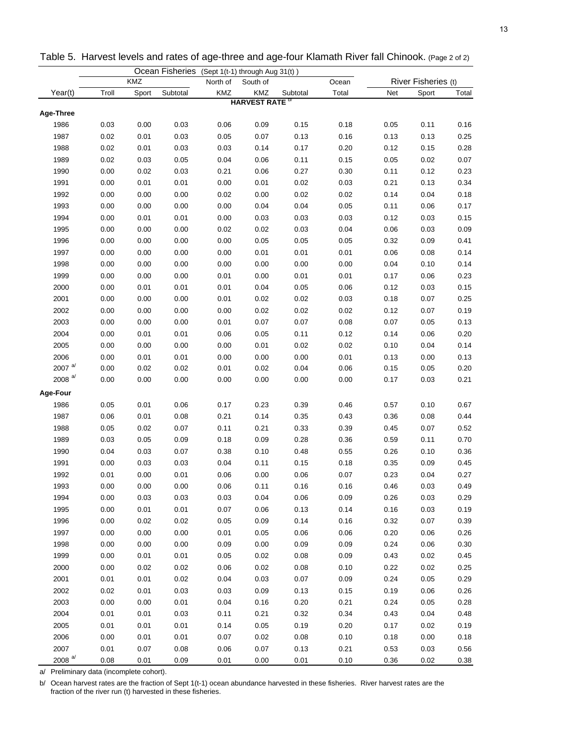|           |       |       | Ocean Fisheries (Sept 1(t-1) through Aug 31(t)) |            |                                 |          |       |      |                     |       |
|-----------|-------|-------|-------------------------------------------------|------------|---------------------------------|----------|-------|------|---------------------|-------|
|           |       | KMZ   |                                                 | North of   | South of                        |          | Ocean |      | River Fisheries (t) |       |
| Year(t)   | Troll | Sport | Subtotal                                        | <b>KMZ</b> | KMZ                             | Subtotal | Total | Net  | Sport               | Total |
|           |       |       |                                                 |            | <b>HARVEST RATE<sup>D</sup></b> |          |       |      |                     |       |
| Age-Three |       |       |                                                 |            |                                 |          |       |      |                     |       |
| 1986      | 0.03  | 0.00  | 0.03                                            | 0.06       | 0.09                            | 0.15     | 0.18  | 0.05 | 0.11                | 0.16  |
| 1987      | 0.02  | 0.01  | 0.03                                            | 0.05       | 0.07                            | 0.13     | 0.16  | 0.13 | 0.13                | 0.25  |
| 1988      | 0.02  | 0.01  | 0.03                                            | 0.03       | 0.14                            | 0.17     | 0.20  | 0.12 | 0.15                | 0.28  |
| 1989      | 0.02  | 0.03  | 0.05                                            | 0.04       | 0.06                            | 0.11     | 0.15  | 0.05 | 0.02                | 0.07  |
| 1990      | 0.00  | 0.02  | 0.03                                            | 0.21       | 0.06                            | 0.27     | 0.30  | 0.11 | 0.12                | 0.23  |
| 1991      | 0.00  | 0.01  | 0.01                                            | 0.00       | 0.01                            | 0.02     | 0.03  | 0.21 | 0.13                | 0.34  |
| 1992      | 0.00  | 0.00  | 0.00                                            | 0.02       | 0.00                            | 0.02     | 0.02  | 0.14 | 0.04                | 0.18  |
| 1993      | 0.00  | 0.00  | 0.00                                            | 0.00       | 0.04                            | 0.04     | 0.05  | 0.11 | 0.06                | 0.17  |
| 1994      | 0.00  | 0.01  | 0.01                                            | 0.00       | 0.03                            | 0.03     | 0.03  | 0.12 | 0.03                | 0.15  |
| 1995      | 0.00  | 0.00  | 0.00                                            | 0.02       | 0.02                            | 0.03     | 0.04  | 0.06 | 0.03                | 0.09  |
| 1996      | 0.00  | 0.00  | 0.00                                            | 0.00       | 0.05                            | 0.05     | 0.05  | 0.32 | 0.09                | 0.41  |
| 1997      | 0.00  | 0.00  | 0.00                                            | 0.00       | 0.01                            | 0.01     | 0.01  | 0.06 | 0.08                | 0.14  |
| 1998      | 0.00  | 0.00  | 0.00                                            | 0.00       | 0.00                            | 0.00     | 0.00  | 0.04 | 0.10                | 0.14  |
| 1999      | 0.00  | 0.00  | 0.00                                            | 0.01       | 0.00                            | 0.01     | 0.01  | 0.17 | 0.06                | 0.23  |
| 2000      | 0.00  | 0.01  | 0.01                                            | 0.01       | 0.04                            | 0.05     | 0.06  | 0.12 | 0.03                | 0.15  |
| 2001      | 0.00  | 0.00  | 0.00                                            | 0.01       | 0.02                            | 0.02     | 0.03  | 0.18 | 0.07                | 0.25  |
| 2002      | 0.00  | 0.00  | 0.00                                            | 0.00       | 0.02                            | 0.02     | 0.02  | 0.12 | 0.07                | 0.19  |
| 2003      | 0.00  | 0.00  | 0.00                                            | 0.01       | 0.07                            | 0.07     | 0.08  | 0.07 | 0.05                | 0.13  |
| 2004      | 0.00  | 0.01  | 0.01                                            | 0.06       | 0.05                            | 0.11     | 0.12  | 0.14 | 0.06                | 0.20  |
| 2005      | 0.00  | 0.00  | 0.00                                            | 0.00       | 0.01                            | 0.02     | 0.02  | 0.10 | 0.04                | 0.14  |
| 2006      | 0.00  | 0.01  | 0.01                                            | 0.00       | 0.00                            | 0.00     | 0.01  | 0.13 | 0.00                | 0.13  |
| 2007 $a/$ | 0.00  | 0.02  | 0.02                                            | 0.01       | 0.02                            | 0.04     | 0.06  | 0.15 | 0.05                | 0.20  |
| 2008 $a/$ | 0.00  | 0.00  | 0.00                                            | 0.00       | 0.00                            | 0.00     | 0.00  | 0.17 | 0.03                | 0.21  |
| Age-Four  |       |       |                                                 |            |                                 |          |       |      |                     |       |
| 1986      | 0.05  | 0.01  | 0.06                                            | 0.17       | 0.23                            | 0.39     | 0.46  | 0.57 | 0.10                | 0.67  |
| 1987      | 0.06  | 0.01  | 0.08                                            | 0.21       | 0.14                            | 0.35     | 0.43  | 0.36 | 0.08                | 0.44  |
| 1988      | 0.05  | 0.02  | 0.07                                            | 0.11       | 0.21                            | 0.33     | 0.39  | 0.45 | 0.07                | 0.52  |
| 1989      | 0.03  | 0.05  | 0.09                                            | 0.18       | 0.09                            | 0.28     | 0.36  | 0.59 | 0.11                | 0.70  |
| 1990      | 0.04  | 0.03  | 0.07                                            | 0.38       | 0.10                            | 0.48     | 0.55  | 0.26 | 0.10                | 0.36  |
| 1991      | 0.00  | 0.03  | 0.03                                            | 0.04       | 0.11                            | 0.15     | 0.18  | 0.35 | 0.09                | 0.45  |
| 1992      | 0.01  | 0.00  | 0.01                                            | 0.06       | 0.00                            | 0.06     | 0.07  | 0.23 | 0.04                | 0.27  |
| 1993      | 0.00  | 0.00  | 0.00                                            | 0.06       | 0.11                            | 0.16     | 0.16  | 0.46 | 0.03                | 0.49  |
| 1994      | 0.00  | 0.03  | 0.03                                            | 0.03       | 0.04                            | 0.06     | 0.09  | 0.26 | 0.03                | 0.29  |
| 1995      | 0.00  | 0.01  | 0.01                                            | 0.07       | 0.06                            | 0.13     | 0.14  | 0.16 | 0.03                | 0.19  |
| 1996      | 0.00  | 0.02  | 0.02                                            | 0.05       | 0.09                            | 0.14     | 0.16  | 0.32 | 0.07                | 0.39  |
| 1997      | 0.00  | 0.00  | 0.00                                            | 0.01       | 0.05                            | 0.06     | 0.06  | 0.20 | 0.06                | 0.26  |
| 1998      | 0.00  | 0.00  | 0.00                                            | 0.09       | 0.00                            | 0.09     | 0.09  | 0.24 | 0.06                | 0.30  |
| 1999      | 0.00  | 0.01  | 0.01                                            | 0.05       | 0.02                            | 0.08     | 0.09  | 0.43 | 0.02                | 0.45  |
| 2000      | 0.00  | 0.02  | 0.02                                            | 0.06       | 0.02                            | 0.08     | 0.10  | 0.22 | 0.02                | 0.25  |
| 2001      | 0.01  | 0.01  | 0.02                                            | 0.04       | 0.03                            | 0.07     | 0.09  | 0.24 | 0.05                | 0.29  |
| 2002      | 0.02  | 0.01  | 0.03                                            | 0.03       | 0.09                            | 0.13     | 0.15  | 0.19 | 0.06                | 0.26  |
| 2003      | 0.00  | 0.00  | 0.01                                            | 0.04       | 0.16                            | 0.20     | 0.21  | 0.24 | 0.05                | 0.28  |
| 2004      | 0.01  | 0.01  | 0.03                                            | 0.11       | 0.21                            | 0.32     | 0.34  | 0.43 | 0.04                | 0.48  |
| 2005      | 0.01  | 0.01  | 0.01                                            | 0.14       | 0.05                            | 0.19     | 0.20  | 0.17 | 0.02                | 0.19  |
| 2006      | 0.00  | 0.01  | 0.01                                            | 0.07       | 0.02                            | 0.08     | 0.10  | 0.18 | 0.00                | 0.18  |
| 2007      |       |       |                                                 |            |                                 |          |       |      |                     |       |
| 2008 $a/$ | 0.01  | 0.07  | 0.08                                            | 0.06       | 0.07                            | 0.13     | 0.21  | 0.53 | 0.03                | 0.56  |
|           | 0.08  | 0.01  | 0.09                                            | 0.01       | 0.00                            | 0.01     | 0.10  | 0.36 | 0.02                | 0.38  |

Table 5. Harvest levels and rates of age-three and age-four Klamath River fall Chinook. (Page 2 of 2)

a/ Preliminary data (incomplete cohort).

b/ Ocean harvest rates are the fraction of Sept 1(t-1) ocean abundance harvested in these fisheries. River harvest rates are the fraction of the river run (t) harvested in these fisheries.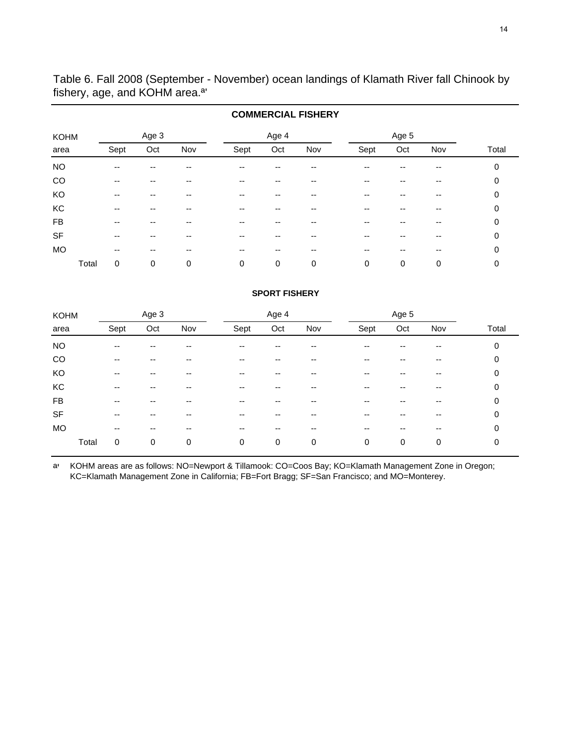Table 6. Fall 2008 (September - November) ocean landings of Klamath River fall Chinook by fishery, age, and KOHM area.ª'

|             |            |       |     |      |       | <b>COMMERCIAL FISHERY</b> |      |       |       |       |
|-------------|------------|-------|-----|------|-------|---------------------------|------|-------|-------|-------|
| <b>KOHM</b> |            | Age 3 |     |      | Age 4 |                           |      | Age 5 |       |       |
| area        | Sept       | Oct   | Nov | Sept | Oct   | Nov                       | Sept | Oct   | Nov   | Total |
| <b>NO</b>   | $- -$      | --    | --  | --   |       |                           |      |       |       | 0     |
| CO          | --         |       |     | --   |       |                           |      |       |       | 0     |
| KO          | $- -$      | --    | --  | --   | --    | --                        | --   | --    | $-$   | 0     |
| КC          | --         |       |     | --   |       |                           | --   |       |       | 0     |
| <b>FB</b>   | $- -$      | --    | --  | --   | --    | --                        | --   | --    | $- -$ | 0     |
| <b>SF</b>   | --         | --    | --  |      |       |                           | --   | --    |       | 0     |
| MO          | $- -$      | --    | --  | --   | --    | --                        | --   | --    | $- -$ | 0     |
|             | Total<br>0 | 0     | 0   | 0    | 0     | 0                         | 0    | 0     | 0     | 0     |

# **SPORT FISHERY**

| <b>KOHM</b> |       |       | Age 3                    |     |                          | Age 4 |     |      | Age 5 |     |       |
|-------------|-------|-------|--------------------------|-----|--------------------------|-------|-----|------|-------|-----|-------|
| area        |       | Sept  | Oct                      | Nov | Sept                     | Oct   | Nov | Sept | Oct   | Nov | Total |
| <b>NO</b>   |       | --    |                          | --  | --                       |       |     | --   |       |     | 0     |
| CO          |       | $- -$ | --                       | --  | $-$                      | --    |     | --   | --    |     | 0     |
| KO          |       | --    | --                       | --  | $-$                      | --    | --  | --   | --    | --  | 0     |
| KC          |       | $- -$ | --                       | --  | $- -$                    | --    | --  | --   | --    | --  | 0     |
| FB          |       | --    | --                       | --  | $-$                      |       |     | --   |       |     | 0     |
| <b>SF</b>   |       | --    | --                       | --  | $-$                      | --    |     | --   | --    | --  | 0     |
| MO          |       | $- -$ | $\overline{\phantom{a}}$ | --  | $\overline{\phantom{a}}$ | --    | --  | --   | --    | --  | 0     |
|             | Total | 0     | 0                        | 0   | 0                        | 0     | 0   | 0    | 0     | 0   | 0     |

ª' KOHM areas are as follows: NO=Newport & Tillamook: CO=Coos Bay; KO=Klamath Management Zone in Oregon; KC=Klamath Management Zone in California; FB=Fort Bragg; SF=San Francisco; and MO=Monterey.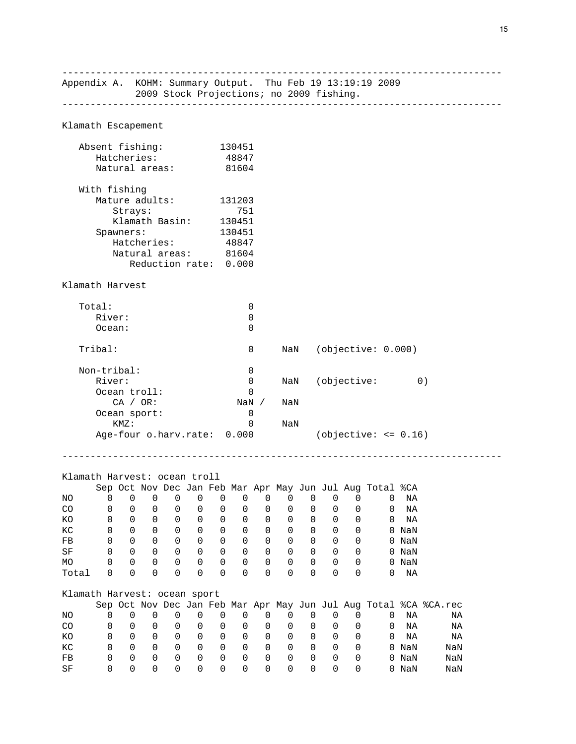------------------------------------------------------------------------------ Appendix A. KOHM: Summary Output. Thu Feb 19 13:19:19 2009 2009 Stock Projections; no 2009 fishing. ------------------------------------------------------------------------------ Klamath Escapement Absent fishing: 130451 Hatcheries: 48847 Natural areas: 81604 With fishing Mature adults: 131203 Strays: 751 Klamath Basin: 130451 Spawners: 130451<br>Hatcheries: 48847 Hatcheries: 48847 Natural areas: 81604 Reduction rate: 0.000 Klamath Harvest Total: 0 River: 0 Ocean: 0 Tribal: 0 NaN (objective: 0.000) Non-tribal: 0 River: 0 0 NaN (objective: 0) Ocean troll: 0<br>
CA / OR: 0<br>
NaN / CA / OR: NaN / NaN Pan sport: 0 Ocean sport: KMZ: 0 NaN Age-four o.harv.rate: 0.000 (objective: <= 0.16) ------------------------------------------------------------------------------ Klamath Harvest: ocean troll Sep Oct Nov Dec Jan Feb Mar Apr May Jun Jul Aug Total %CA NO 0 0 0 0 0 0 0 0 0 0 0 0 0 NA CO 0 0 0 0 0 0 0 0 0 0 0 0 0 NA KO 0 0 0 0 0 0 0 0 0 0 0 0 0 NA KC 0 0 0 0 0 0 0 0 0 0 0 0 0 NaN FB 0 0 0 0 0 0 0 0 0 0 0 0 0 NaN SF 0 0 0 0 0 0 0 0 0 0 0 0 0 NaN MO 0 0 0 0 0 0 0 0 0 0 0 0 0 NaN Total 0 0 0 0 0 0 0 0 0 0 0 0 0 NA Klamath Harvest: ocean sport Sep Oct Nov Dec Jan Feb Mar Apr May Jun Jul Aug Total %CA %CA.rec NO 0 0 0 0 0 0 0 0 0 0 0 0 0 NA NA CO 0 0 0 0 0 0 0 0 0 0 0 0 0 0 MA<br>KO 0 0 0 0 0 0 0 0 0 0 0 0 MA KO 0 0 0 0 0 0 0 0 0 0 0 0 0 NA NA KC 0 0 0 0 0 0 0 0 0 0 0 0 0 NaN NaN FB 0 0 0 0 0 0 0 0 0 0 0 0 0 NaN NaN SF 0 0 0 0 0 0 0 0 0 0 0 0 0 NaN NaN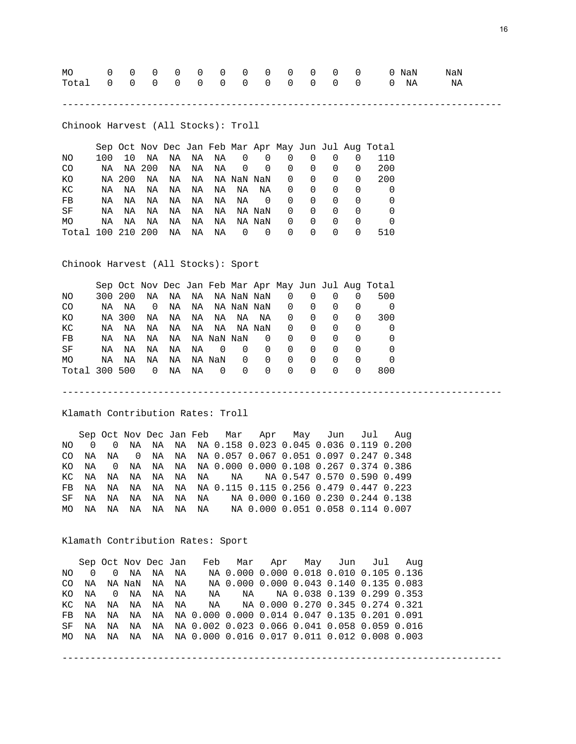| Total 0 0 0 0 0 0 0 0 0 0 0 0 0 0 NA NA |  |  |  |  |  |  |  |  |
|-----------------------------------------|--|--|--|--|--|--|--|--|
|                                         |  |  |  |  |  |  |  |  |

------------------------------------------------------------------------------

------------------------------------------------------------------------------

Chinook Harvest (All Stocks): Troll

|                   |     |        |    |    |    |    |            |          |   |              |                  |              | Sep Oct Nov Dec Jan Feb Mar Apr May Jun Jul Aug Total |
|-------------------|-----|--------|----|----|----|----|------------|----------|---|--------------|------------------|--------------|-------------------------------------------------------|
| NO.               | 100 | 10     | NA | NA | NA | NA | 0          | 0        | 0 |              | $\Omega$         |              | 110                                                   |
| CO.               | NA  | NA 200 |    | NA | NA | NA | 0          | 0        | 0 | <sup>0</sup> | $\left( \right)$ | <sup>0</sup> | 200                                                   |
| ΚO                |     | NA 200 | ΝA | NA | NA |    | NA NaN NaN |          | 0 | 0            | $\left( \right)$ | <sup>0</sup> | 200                                                   |
| КC                | NA  | ΝA     | ΝA | NA | NA | NA | NA         | NA       | 0 | 0            | $\left( \right)$ | <sup>0</sup> |                                                       |
| FB                | ΝA  | ΝA     | ΝA | ΝA | NA | NA | ΝA         | $\Omega$ | 0 | 0            | 0                | <sup>0</sup> |                                                       |
| SF                | NA  | NA     | ΝA | NA | NA | NA |            | NA NaN   | 0 | $\Omega$     | $\left( \right)$ | $\left($     |                                                       |
| <b>MO</b>         | NA  | ΝA     | ΝA | ΝA | ΝA | ΝA |            | NA NaN   | 0 | 0            | $\left( \right)$ | O            |                                                       |
| Total 100 210 200 |     |        |    | ΝA | ΝA | ΝA | 0          | $\Omega$ | 0 | <sup>0</sup> | $\left( \right)$ | O            | 510                                                   |

Chinook Harvest (All Stocks): Sport

|               |         |        |          |    |    |          |                   |          |              |          |                  |              | Sep Oct Nov Dec Jan Feb Mar Apr May Jun Jul Aug Total |
|---------------|---------|--------|----------|----|----|----------|-------------------|----------|--------------|----------|------------------|--------------|-------------------------------------------------------|
| NO.           | 300 200 |        | ΝA       | NA |    |          | NA NA NaN NaN     |          |              |          |                  |              | 500                                                   |
| CO.           | NA      | NA     | $\Omega$ | NA |    |          | NA   NA  NaN  NaN |          | 0            | 0        | $\left($         |              |                                                       |
| КO            |         | NA 300 | NA       | NA |    | NA NA    |                   | NA NA    | 0            | 0        | $\left( \right)$ | <sup>0</sup> | 300                                                   |
| КC            | NA      | NA     | NA       | NA |    | NA NA    |                   | NA NaN   | 0            | $\Omega$ | $\left( \right)$ | $\Omega$     |                                                       |
| FB            | NA      | NA     | ΝA       | NA |    |          | NA NaN NaN        | 0        | 0            | $\Omega$ | 0                | <sup>0</sup> |                                                       |
| SF            | ΝA      | NA     | NA       | NA | NA | $\Omega$ | $\Omega$          | 0        | 0            | $\Omega$ | $\Omega$         | <sup>0</sup> |                                                       |
| MO.           | NA      | ΝA     | ΝA       | NA |    | NA NaN   | 0                 | $\Omega$ | <sup>0</sup> | $\Omega$ | $\Omega$         | <sup>0</sup> |                                                       |
| Total 300 500 |         |        | $\Omega$ | NA | NA | $\Omega$ | 0                 | $\Omega$ | <sup>0</sup> | $\Omega$ | <sup>0</sup>     |              | 800                                                   |

Klamath Contribution Rates: Troll

 Sep Oct Nov Dec Jan Feb Mar Apr May Jun Jul Aug NO 0 0 NA NA NA NA 0.158 0.023 0.045 0.036 0.119 0.200 CO NA NA 0 NA NA NA 0.057 0.067 0.051 0.097 0.247 0.348 KO NA 0 NA NA NA NA 0.000 0.000 0.108 0.267 0.374 0.386 KC NA NA NA NA NA NA NA NA 0.547 0.570 0.590 0.499 FB NA NA NA NA NA NA 0.115 0.115 0.256 0.479 0.447 0.223 SF NA NA NA NA NA NA NA 0.000 0.160 0.230 0.244 0.138 MO NA NA NA NA NA NA NA 0.000 0.051 0.058 0.114 0.007

Klamath Contribution Rates: Sport

 Sep Oct Nov Dec Jan Feb Mar Apr May Jun Jul Aug NO 0 0 NA NA NA NA 0.000 0.000 0.018 0.010 0.105 0.136 CO NA NA NaN NA NA NA 0.000 0.000 0.043 0.140 0.135 0.083 KO NA 0 NA NA NA NA NA NA 0.038 0.139 0.299 0.353 KC NA NA NA NA NA NA NA 0.000 0.270 0.345 0.274 0.321 FB NA NA NA NA NA 0.000 0.000 0.014 0.047 0.135 0.201 0.091 SF NA NA NA NA NA 0.002 0.023 0.066 0.041 0.058 0.059 0.016 MO NA NA NA NA NA 0.000 0.016 0.017 0.011 0.012 0.008 0.003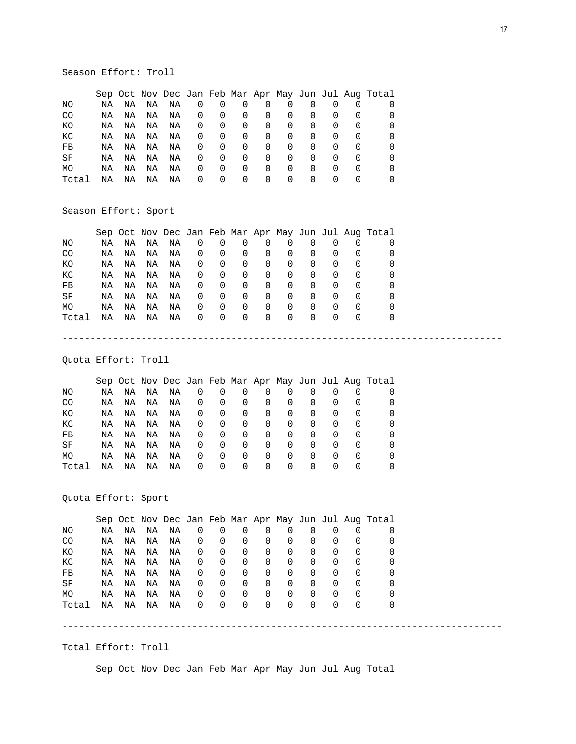# Season Effort: Troll

|           |    |    |    |    |          |          |          |          |          |                  |                  |                  | Sep Oct Nov Dec Jan Feb Mar Apr May Jun Jul Aug Total |
|-----------|----|----|----|----|----------|----------|----------|----------|----------|------------------|------------------|------------------|-------------------------------------------------------|
| ΝO        | ΝA | ΝA | ΝA | ΝA | O        | U        |          |          | O        |                  |                  |                  |                                                       |
| CO        | ΝA | ΝA | ΝA | ΝA | $\Omega$ | $\Omega$ | $\Omega$ | $\Omega$ | O        | $\Omega$         | O                | $\left($         |                                                       |
| КO        | ΝA | ΝA | ΝA | ΝA | $\Omega$ | $\Omega$ | $\Omega$ | $\Omega$ | 0        | $\Omega$         |                  | $\left( \right)$ |                                                       |
| КC        | ΝA | ΝA | ΝA | ΝA | 0        | 0        | 0        | 0        | 0        | 0                |                  | 0                |                                                       |
| FB        | ΝA | ΝA | ΝA | ΝA | $\Omega$ | 0        | 0        | 0        | 0        | 0                | 0                | O                |                                                       |
| SF        | ΝA | ΝA | ΝA | ΝA | $\Omega$ | 0        | $\Omega$ | 0        | $\Omega$ | $\left( \right)$ | $\left( \right)$ | <sup>0</sup>     |                                                       |
| <b>MO</b> | ΝA | ΝA | ΝA | ΝA | 0        | 0        | 0        | $\Omega$ | 0        | $\left( \right)$ | O                | $\left( \right)$ |                                                       |
| Total     | ΝA | ΝA | ΝA | ΝA | 0        | $\Omega$ | $\Omega$ | $\Omega$ | O        |                  |                  | $\left( \right)$ |                                                       |

# Season Effort: Sport

|                |    |    |    |    |                |                |                |          |          |          |                  |          | Sep Oct Nov Dec Jan Feb Mar Apr May Jun Jul Aug Total |
|----------------|----|----|----|----|----------------|----------------|----------------|----------|----------|----------|------------------|----------|-------------------------------------------------------|
| NO.            | NA | NA | ΝA | ΝA | 0              | 0              | 0              | 0        | $\Omega$ |          |                  |          |                                                       |
| C <sub>O</sub> | NA | NA | NA | NA | $\overline{0}$ | 0              | $\overline{0}$ | 0        | $\Omega$ | 0        |                  | $\Omega$ |                                                       |
| КO             | NA | NA | NA | NA | $\overline{0}$ | 0              | $\overline{0}$ | 0        | $\Omega$ | $\Omega$ | $\Omega$         | $\Omega$ |                                                       |
| КC             | NA | NA | ΝA | ΝA | $\mathbf{0}$   | 0              | 0              | $\Omega$ | $\Omega$ | $\Omega$ | $\Omega$         | 0        |                                                       |
| FB             | NA | NA | NA | NA | $\overline{0}$ | 0              | 0              | 0        | $\Omega$ | $\Omega$ | 0                | 0        |                                                       |
| SF             | NA | ΝA | ΝA | ΝA | $\mathbf{0}$   | 0              | 0              | $\Omega$ | $\Omega$ | $\Omega$ | $\Omega$         | $\Omega$ |                                                       |
| MO             | NA | NA | ΝA | ΝA | 0              | 0              | $\Omega$       | $\Omega$ | $\Omega$ | $\Omega$ | 0                | $\Omega$ |                                                       |
| Total          | NA | ΝA | ΝA | ΝA | $\overline{0}$ | $\overline{0}$ | $\overline{0}$ | $\Omega$ | $\Omega$ | 0        | $\left( \right)$ | 0        |                                                       |
|                |    |    |    |    |                |                |                |          |          |          |                  |          |                                                       |

------------------------------------------------------------------------------

Quota Effort: Troll

|       |    |    |    |    |          |          |                  |                  |                  |                  |                  |                  | Sep Oct Nov Dec Jan Feb Mar Apr May Jun Jul Aug Total |
|-------|----|----|----|----|----------|----------|------------------|------------------|------------------|------------------|------------------|------------------|-------------------------------------------------------|
| ΝO    | ΝA | ΝA | NA | ΝA | 0        | U        | O                |                  | O                | O                |                  |                  |                                                       |
| CO.   | ΝA | ΝA | ΝA | ΝA | $\Omega$ | $\Omega$ | O                | O                | O                | O                | $\left( \right)$ |                  |                                                       |
| КO    | ΝA | ΝA | ΝA | ΝA | 0        | 0        | O                | $\Omega$         | O                | $\Omega$         | $\left( \right)$ | $\left( \right)$ |                                                       |
| КC    | ΝA | ΝA | ΝA | ΝA | $\Omega$ | 0        | O                | 0                | 0                | $\Omega$         | O                |                  |                                                       |
| FB    | ΝA | ΝA | ΝA | ΝA | O        | 0        | O                | 0                | O                | 0                | O                |                  |                                                       |
| SF    | ΝA | ΝA | ΝA | ΝA | $\Omega$ | 0        | $\Omega$         | 0                | 0                | $\Omega$         | $\left( \right)$ | $\left($         |                                                       |
| MO    | ΝA | ΝA | ΝA | ΝA | $\Omega$ | $\Omega$ | $\left( \right)$ | $\left( \right)$ | $\left( \right)$ | $\left( \right)$ | $\left( \right)$ | $\left( \right)$ |                                                       |
| Total | ΝA | ΝA | ΝA | ΝA | $\Omega$ | $\Omega$ | $\left($         | $\Omega$         | $\Omega$         | $\Omega$         | $\left( \right)$ |                  |                                                       |

Quota Effort: Sport

|       |    |    |    |    |                  |          |          |          |          |          |                  |          | Sep Oct Nov Dec Jan Feb Mar Apr May Jun Jul Aug Total |
|-------|----|----|----|----|------------------|----------|----------|----------|----------|----------|------------------|----------|-------------------------------------------------------|
| NΟ    | ΝA | ΝA | ΝA | ΝA | 0                | $\Omega$ | O        | $\Omega$ | 0        |          | $\Omega$         |          |                                                       |
| CO    | ΝA | ΝA | ΝA | ΝA | $\Omega$         | 0        | $\Omega$ | 0        | $\Omega$ | 0        | $\Omega$         |          |                                                       |
| КO    | ΝA | ΝA | ΝA | ΝA | $\Omega$         | 0        | 0        | 0        | 0        | 0        | $\Omega$         |          |                                                       |
| КC    | ΝA | ΝA | ΝA | ΝA | O                | 0        | $\Omega$ | 0        | $\Omega$ | 0        | 0                | $\left($ |                                                       |
| FB    | ΝA | ΝA | ΝA | ΝA | O                | 0        | $\Omega$ | 0        | 0        | 0        | <sup>0</sup>     | $\left($ |                                                       |
| SF    | ΝA | ΝA | ΝA | ΝA | O                | 0        | $\Omega$ | 0        | $\Omega$ | 0        | <sup>0</sup>     | $\left($ |                                                       |
| MO    | ΝA | ΝA | ΝA | ΝA | O                | 0        | $\Omega$ | 0        | $\Omega$ | $\Omega$ | $\Omega$         | $\left($ |                                                       |
| Total | ΝA | ΝA | ΝA | ΝA | $\left( \right)$ | $\Omega$ | $\Omega$ | $\Omega$ | $\left($ | $\left($ | $\left( \right)$ |          |                                                       |
|       |    |    |    |    |                  |          |          |          |          |          |                  |          |                                                       |

Total Effort: Troll

Sep Oct Nov Dec Jan Feb Mar Apr May Jun Jul Aug Total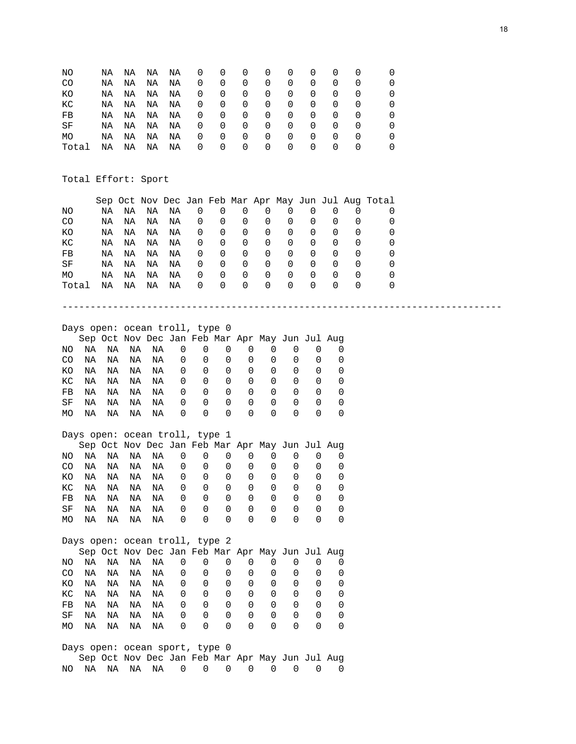| NO    | NA | NA | NA | ΝA | O        | 0        | O        | $\Omega$ | O                | O                |                  |              |  |
|-------|----|----|----|----|----------|----------|----------|----------|------------------|------------------|------------------|--------------|--|
| CO    | ΝA | ΝA | ΝA | ΝA | O        | 0        | 0        | $\Omega$ | $\Omega$         | $\Omega$         | $\Omega$         | $\Omega$     |  |
| КO    | ΝA | ΝA | ΝA | NA | $\Omega$ | $\Omega$ | $\Omega$ | $\Omega$ | $\Omega$         | $\Omega$         | O                | $\left($     |  |
| КC    | ΝA | NA | ΝA | ΝA | O        | 0        | 0        | 0        | $\Omega$         | 0                | 0                | <sup>0</sup> |  |
| FB    | ΝA | ΝA | ΝA | ΝA | 0        | 0        | 0        | 0        | 0                | 0                | $\Omega$         | $\left($     |  |
| SF    | ΝA | ΝA | NA | ΝA | $\Omega$ | 0        | 0        | 0        | $\Omega$         | $\Omega$         | O                | $\left($     |  |
| MO    | ΝA | ΝA | ΝA | ΝA | U        | $\Omega$ | $\Omega$ | $\Omega$ | $\Omega$         | $\Omega$         | O                | $\left($     |  |
| Total | ΝA | ΝA | ΝA | ΝA | O        | $\Omega$ | $\left($ | $\Omega$ | $\left( \right)$ | $\left( \right)$ | $\left( \right)$ | $\left($     |  |

Total Effort: Sport

|           |    |    |    |    |          |        |                  |          |                  |                  |                  |                  | Sep Oct Nov Dec Jan Feb Mar Apr May Jun Jul Aug Total |
|-----------|----|----|----|----|----------|--------|------------------|----------|------------------|------------------|------------------|------------------|-------------------------------------------------------|
| ΝO        | ΝA | ΝA | ΝA | ΝA |          |        | O                | 0        | $\Omega$         |                  | $\Omega$         |                  |                                                       |
| CO.       | ΝA | ΝA | ΝA | ΝA |          | 0      | $\Omega$         | 0        | $\Omega$         | 0                | $\left( \right)$ |                  |                                                       |
| КO        | ΝA | ΝA | ΝA | ΝA |          | 0      | $\Omega$         | 0        | 0                | 0                | $\left( \right)$ | $\left( \right)$ |                                                       |
| КC        | ΝA | ΝA | ΝA | ΝA |          | 0      | $\Omega$         | 0        | 0                | 0                | <sup>0</sup>     | $\Omega$         |                                                       |
| FB        | ΝA | ΝA | ΝA | ΝA |          | 0      | $\Omega$         | 0        | 0                | 0                | <sup>0</sup>     | $\Omega$         |                                                       |
| SF        | ΝA | ΝA | ΝA | ΝA | O        | 0      | 0                | 0        | 0                | 0                | <sup>0</sup>     | <sup>0</sup>     |                                                       |
| <b>MO</b> | ΝA | ΝA | ΝA | ΝA | $\left($ | 0      | $\Omega$         | 0        | $\left( \right)$ | 0                | <sup>0</sup>     | $\left( \right)$ |                                                       |
| Total     | ΝA | ΝA | ΝA | ΝA |          | $\cup$ | $\left( \right)$ | $\left($ | $\left( \right)$ | $\left( \right)$ | $\left( \right)$ |                  |                                                       |

------------------------------------------------------------------------------

# Days open: ocean troll, type 0

|     |    |    | Sep Oct Nov Dec Jan Feb Mar Apr May Jun Jul Aug |    |          |          |                  |          |                  |                  |  |
|-----|----|----|-------------------------------------------------|----|----------|----------|------------------|----------|------------------|------------------|--|
| NO. | ΝA | NA | NA                                              | NA | 0        | $\Omega$ | $\Omega$         | O        |                  |                  |  |
| CO  | NА | NA | NA                                              | NA | $\Omega$ | $\Omega$ | O                | O        |                  | $\left( \right)$ |  |
| KΟ  | ΝA | NA | NA                                              | NA | 0        | $\Omega$ | $\Omega$         | $\Omega$ |                  |                  |  |
| KC. | NA | NA | NA                                              | NA | 0        | $\Omega$ | $\left( \right)$ | $\Omega$ |                  | $\Omega$         |  |
| FB  | NА | ΝA | NA                                              | NA | 0        | $\Omega$ | $\left( \right)$ | O        |                  | $\left( \right)$ |  |
| SF  | ΝA | ΝA | ΝA                                              | NA | $\Omega$ | $\Omega$ | $\left( \right)$ | $\Omega$ | $\left( \right)$ | $\left( \right)$ |  |
| МO  | ΝA | ΝA | ΝA                                              | NA | 0        | $\Omega$ | 0                | $\Omega$ |                  |                  |  |

#### Days open: ocean troll, type 1

|     |    |    | Sep Oct Nov Dec Jan Feb Mar Apr May Jun Jul Aug |    |          |                  |                  |                  |          |                  |                  |  |
|-----|----|----|-------------------------------------------------|----|----------|------------------|------------------|------------------|----------|------------------|------------------|--|
| NO. | ΝA | NA | NA                                              | NA | 0        | $\Omega$         | $\Omega$         | $\Omega$         |          |                  |                  |  |
| CO  | NA | NA | NA                                              | NA | 0        | $\Omega$         | O                | $\Omega$         | $\Omega$ |                  |                  |  |
| KO. | NA | NA | NA                                              | NA | 0        | $\Omega$         | $\Omega$         | $\Omega$         |          |                  | $\left( \right)$ |  |
| KC. | NA | NA | NA                                              | NA | 0        | $\Omega$         | $\Omega$         | $\Omega$         | $\Omega$ | $\left( \right)$ | $\Omega$         |  |
| FB  | ΝA | NA | NA                                              | ΝA | 0        | $\Omega$         | $\left( \right)$ | $\Omega$         |          |                  | $\Omega$         |  |
| SF  | ΝA | NA | NA                                              | NA | 0        | $\Omega$         | $\left( \right)$ | O                | $\cup$   | $\left( \right)$ | $\left( \right)$ |  |
| MO. | ΝA | ΝA | NA                                              | NA | $\Omega$ | $\left( \right)$ | $\left( \right)$ | $\left( \right)$ |          |                  |                  |  |
|     |    |    |                                                 |    |          |                  |                  |                  |          |                  |                  |  |

#### Days open: ocean troll, type 2 Sep Oct Nov Dec Jan Feb Mar Apr May Jun Jul Aug

|  |  |  |  |  | $0 \quad 0$                                                                                                                                                                                                              |
|--|--|--|--|--|--------------------------------------------------------------------------------------------------------------------------------------------------------------------------------------------------------------------------|
|  |  |  |  |  | NO NA  NA  NA  NA  O  O  O  O  O  O  O  O  O  O<br>KONANANANA 000000000<br>KC NA NA NA NA 000000000<br>FB NA NA NA NA 000000000<br>SF NA  NA  NA  NA $0\quad 0\quad 0\quad 0\quad 0\quad 0\quad 0$<br>MONANANANA 0000000 |

#### Days open: ocean sport, type 0 Sep Oct Nov Dec Jan Feb Mar Apr May Jun Jul Aug NO NA NA NA NA 0 0 0 0 0 0 0 0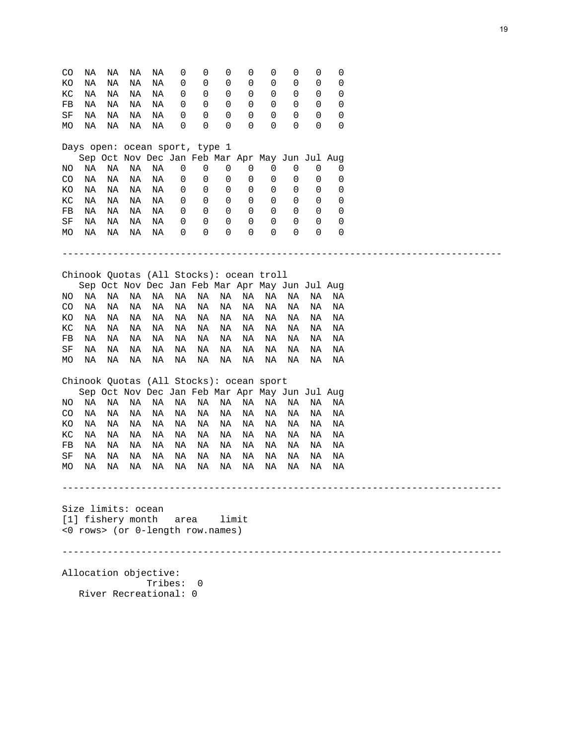| CO  | ΝA                 | ΝA | ΝA | ΝA                    | 0       | 0                                               | 0     | 0  | 0  | 0  | 0  | 0  |  |
|-----|--------------------|----|----|-----------------------|---------|-------------------------------------------------|-------|----|----|----|----|----|--|
| ΚO  | ΝA                 | ΝA | ΝA | ΝA                    | 0       | 0                                               | 0     | 0  | 0  | 0  | 0  | 0  |  |
| КC  | ΝA                 | ΝA | ΝA | ΝA                    | 0       | 0                                               | 0     | 0  | 0  | 0  | 0  | 0  |  |
| FB  | ΝA                 | ΝA | ΝA | ΝA                    | 0       | 0                                               | 0     | 0  | 0  | 0  | 0  | 0  |  |
| SF  | ΝA                 | ΝA | ΝA | ΝA                    | 0       | 0                                               | 0     | 0  | 0  | 0  | 0  | 0  |  |
| МO  | ΝA                 | ΝA | ΝA | ΝA                    | 0       | 0                                               | 0     | 0  | 0  | 0  | 0  | 0  |  |
|     |                    |    |    |                       |         |                                                 |       |    |    |    |    |    |  |
|     |                    |    |    |                       |         | Days open: ocean sport, type 1                  |       |    |    |    |    |    |  |
|     |                    |    |    |                       |         | Sep Oct Nov Dec Jan Feb Mar Apr May Jun Jul Aug |       |    |    |    |    |    |  |
| ΝO  | ΝA                 | ΝA | ΝA | ΝA                    | 0       | 0                                               | 0     | 0  | 0  | 0  | 0  | 0  |  |
| CO  | ΝA                 | ΝA | ΝA | ΝA                    | 0       | 0                                               | 0     | 0  | 0  | 0  | 0  | 0  |  |
| ΚO  | ΝA                 | ΝA | ΝA | ΝA                    | 0       | 0                                               | 0     | 0  | 0  | 0  | 0  | 0  |  |
| КC  | ΝA                 | ΝA | ΝA | ΝA                    | 0       | 0                                               | 0     | 0  | 0  | 0  | 0  | 0  |  |
|     |                    |    |    |                       |         | 0                                               | 0     |    |    | 0  |    |    |  |
| FB  | ΝA                 | ΝA | ΝA | ΝA                    | 0       |                                                 |       | 0  | 0  |    | 0  | 0  |  |
| SF  | ΝA                 | ΝA | ΝA | ΝA                    | 0       | 0                                               | 0     | 0  | 0  | 0  | 0  | 0  |  |
| МO  | ΝA                 | ΝA | ΝA | ΝA                    | 0       | 0                                               | 0     | 0  | 0  | 0  | 0  | 0  |  |
|     |                    |    |    |                       |         |                                                 |       |    |    |    |    |    |  |
|     |                    |    |    |                       |         |                                                 |       |    |    |    |    |    |  |
|     |                    |    |    |                       |         | Chinook Quotas (All Stocks): ocean troll        |       |    |    |    |    |    |  |
|     |                    |    |    |                       |         | Sep Oct Nov Dec Jan Feb Mar Apr May Jun Jul Aug |       |    |    |    |    |    |  |
| NO. | ΝA                 | ΝA | ΝA | ΝA                    | ΝA      | ΝA                                              | ΝA    | ΝA | ΝA | ΝA | ΝA | ΝA |  |
| CO  | ΝA                 | ΝA | ΝA | ΝA                    | NA      | ΝA                                              | ΝA    | ΝA | ΝA | ΝA | ΝA | ΝA |  |
| ΚO  | ΝA                 | ΝA | ΝA | ΝA                    | ΝA      | ΝA                                              | ΝA    | ΝA | ΝA | ΝA | ΝA | ΝA |  |
|     |                    | ΝA | ΝA | ΝA                    | ΝA      |                                                 |       |    |    |    |    | ΝA |  |
| КC  | ΝA                 |    |    |                       |         | ΝA                                              | ΝA    | ΝA | ΝA | ΝA | ΝA |    |  |
| FB  | ΝA                 | ΝA | ΝA | ΝA                    | ΝA      | ΝA                                              | ΝA    | ΝA | ΝA | ΝA | ΝA | ΝA |  |
| SF  | ΝA                 | ΝA | ΝA | ΝA                    | ΝA      | ΝA                                              | ΝA    | ΝA | ΝA | ΝA | ΝA | ΝA |  |
| МO  | ΝA                 | ΝA | ΝA | ΝA                    | ΝA      | ΝA                                              | ΝA    | ΝA | ΝA | ΝA | ΝA | ΝA |  |
|     |                    |    |    |                       |         | Chinook Quotas (All Stocks): ocean sport        |       |    |    |    |    |    |  |
|     |                    |    |    |                       |         | Sep Oct Nov Dec Jan Feb Mar Apr May Jun Jul Aug |       |    |    |    |    |    |  |
| NO. | ΝA                 | ΝA | ΝA | ΝA                    | ΝA      | ΝA                                              | ΝA    | ΝA | ΝA | ΝA | ΝA | ΝA |  |
|     |                    |    |    |                       |         |                                                 |       |    |    |    |    |    |  |
| CO  | ΝA                 | ΝA | ΝA | ΝA                    | ΝA      | ΝA                                              | ΝA    | ΝA | ΝA | ΝA | ΝA | ΝA |  |
| ΚO  | ΝA                 | ΝA | ΝA | ΝA                    | ΝA      | ΝA                                              | ΝA    | ΝA | ΝA | ΝA | ΝA | ΝA |  |
| КC  | ΝA                 | ΝA | ΝA | ΝA                    | ΝA      | ΝA                                              | ΝA    | ΝA | ΝA | ΝA | ΝA | ΝA |  |
| FB  | ΝA                 | ΝA | ΝA | ΝA                    | ΝA      | ΝA                                              | ΝA    | ΝA | ΝA | ΝA | ΝA | ΝA |  |
| SF  | ΝA                 | ΝA | ΝA | ΝA                    | ΝA      | ΝA                                              | ΝA    | ΝA | ΝA | ΝA | ΝA | ΝA |  |
| МO  | ΝA                 | ΝA | ΝA | ΝA                    | ΝA      | ΝA                                              | ΝA    | ΝA | ΝA | ΝA | ΝA | ΝA |  |
|     |                    |    |    |                       |         |                                                 |       |    |    |    |    |    |  |
|     |                    |    |    |                       |         |                                                 |       |    |    |    |    |    |  |
|     |                    |    |    |                       |         |                                                 |       |    |    |    |    |    |  |
|     | Size limits: ocean |    |    |                       |         |                                                 |       |    |    |    |    |    |  |
|     | [1] fishery month  |    |    |                       | area    |                                                 | limit |    |    |    |    |    |  |
|     |                    |    |    |                       |         | <0 rows> (or 0-length row.names)                |       |    |    |    |    |    |  |
|     |                    |    |    |                       |         |                                                 |       |    |    |    |    |    |  |
|     |                    |    |    |                       |         |                                                 |       |    |    |    |    |    |  |
|     |                    |    |    | Allocation objective: |         |                                                 |       |    |    |    |    |    |  |
|     |                    |    |    |                       | Tribes: | $\Omega$                                        |       |    |    |    |    |    |  |
|     |                    |    |    | River Recreational: 0 |         |                                                 |       |    |    |    |    |    |  |
|     |                    |    |    |                       |         |                                                 |       |    |    |    |    |    |  |
|     |                    |    |    |                       |         |                                                 |       |    |    |    |    |    |  |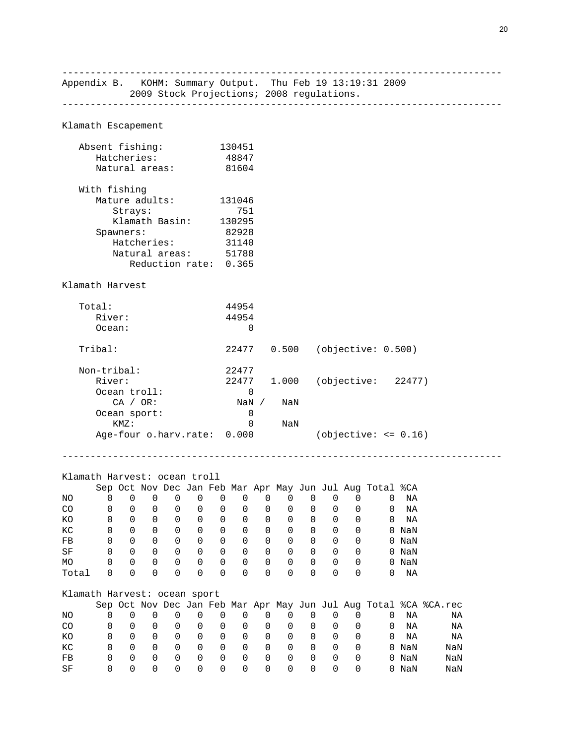------------------------------------------------------------------------------ Appendix B. KOHM: Summary Output. Thu Feb 19 13:19:31 2009 2009 Stock Projections; 2008 regulations. ------------------------------------------------------------------------------ Klamath Escapement Absent fishing: 130451 Hatcheries: 48847 Natural areas: 81604 With fishing Mature adults: 131046 Strays: 751 Klamath Basin: 130295 Spawners: 82928<br>Hatcheries: 31140 Hatcheries: 31140 Natural areas: 51788 Reduction rate: 0.365 Klamath Harvest Total: 44954 River: 44954 Ocean: 0 Tribal: 22477 0.500 (objective: 0.500) Non-tribal: n-tribal: 22477<br>River: 22477 1.000 (objective: 22477) Ocean troll: 0<br>CA / OR: NaN NaN / NaN Ocean sport: KMZ: 0 NaN Age-four o.harv.rate: 0.000 (objective: <= 0.16) ------------------------------------------------------------------------------ Klamath Harvest: ocean troll Sep Oct Nov Dec Jan Feb Mar Apr May Jun Jul Aug Total %CA NO 0 0 0 0 0 0 0 0 0 0 0 0 0 NA CO 0 0 0 0 0 0 0 0 0 0 0 0 0 NA KO 0 0 0 0 0 0 0 0 0 0 0 0 0 NA KC 0 0 0 0 0 0 0 0 0 0 0 0 0 NaN FB 0 0 0 0 0 0 0 0 0 0 0 0 0 NaN SF 0 0 0 0 0 0 0 0 0 0 0 0 0 NaN MO 0 0 0 0 0 0 0 0 0 0 0 0 0 NaN Total 0 0 0 0 0 0 0 0 0 0 0 0 0 NA Klamath Harvest: ocean sport Sep Oct Nov Dec Jan Feb Mar Apr May Jun Jul Aug Total %CA %CA.rec NO 0 0 0 0 0 0 0 0 0 0 0 0 0 NA NA CO 0 0 0 0 0 0 0 0 0 0 0 0 0 NA NA KO 0 0 0 0 0 0 0 0 0 0 0 0 0 NA NA KC 0 0 0 0 0 0 0 0 0 0 0 0 0 NaN NaN FB 0 0 0 0 0 0 0 0 0 0 0 0 0 NaN NaN SF 0 0 0 0 0 0 0 0 0 0 0 0 0 NaN NaN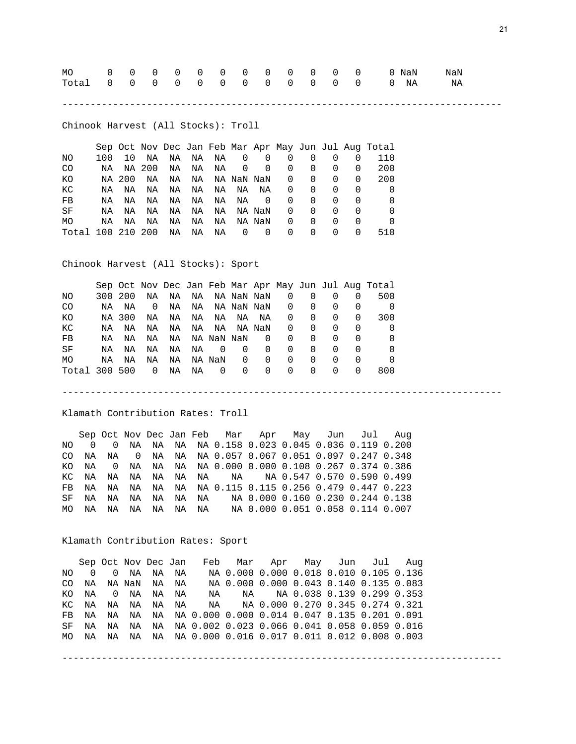| Total 0 0 0 0 0 0 0 0 0 0 0 0 0 0 NA NA |  |  |  |  |  |  |  |  |
|-----------------------------------------|--|--|--|--|--|--|--|--|
|                                         |  |  |  |  |  |  |  |  |

------------------------------------------------------------------------------

------------------------------------------------------------------------------

Chinook Harvest (All Stocks): Troll

|                   |     |        |    |    |    |    |            |          |   |              |                  |              | Sep Oct Nov Dec Jan Feb Mar Apr May Jun Jul Aug Total |
|-------------------|-----|--------|----|----|----|----|------------|----------|---|--------------|------------------|--------------|-------------------------------------------------------|
| NO.               | 100 | 10     | NA | NA | NA | NA | 0          | 0        | 0 |              | $\Omega$         |              | 110                                                   |
| CO.               | NA  | NA 200 |    | NA | NA | NA | 0          | 0        | 0 | <sup>0</sup> | $\left( \right)$ | <sup>0</sup> | 200                                                   |
| ΚO                |     | NA 200 | ΝA | NA | NA |    | NA NaN NaN |          | 0 | 0            | $\left( \right)$ | <sup>0</sup> | 200                                                   |
| КC                | NA  | ΝA     | ΝA | NA | NA | NA | NA         | NA       | 0 | 0            | $\left( \right)$ | <sup>0</sup> |                                                       |
| FB                | ΝA  | ΝA     | ΝA | ΝA | NA | NA | ΝA         | $\Omega$ | 0 | 0            | 0                | <sup>0</sup> |                                                       |
| SF                | NA  | NA     | ΝA | NA | NA | NA |            | NA NaN   | 0 | $\Omega$     | $\left( \right)$ | $\left($     |                                                       |
| <b>MO</b>         | NA  | ΝA     | ΝA | ΝA | ΝA | ΝA |            | NA NaN   | 0 | 0            | $\left( \right)$ | O            |                                                       |
| Total 100 210 200 |     |        |    | ΝA | ΝA | ΝA | 0          | $\Omega$ | 0 | <sup>0</sup> | $\left( \right)$ | O            | 510                                                   |

Chinook Harvest (All Stocks): Sport

|               |         |        |    |    |    |            |            |          |                  |              |                  |                  | Sep Oct Nov Dec Jan Feb Mar Apr May Jun Jul Aug Total |
|---------------|---------|--------|----|----|----|------------|------------|----------|------------------|--------------|------------------|------------------|-------------------------------------------------------|
| NO.           | 300 200 |        | ΝA | NA | NA |            | NA NaN NaN |          | 0                |              |                  |                  | 500                                                   |
| CO.           | NA      | NA     | 0  | NA | NA |            | NA NaN NaN |          | $\Omega$         | 0            | $\left( \right)$ | $\left( \right)$ |                                                       |
| КO            |         | NA 300 | NA | NA | NA | NA         | NA         | ΝA       | 0                | 0            | $\left( \right)$ | <sup>0</sup>     | 300                                                   |
| КC            | NA      | ΝA     | ΝA | NA | NA | NA         |            | NA NaN   | 0                | $\Omega$     | <sup>0</sup>     | <sup>0</sup>     |                                                       |
| FB            | ΝA      | ΝA     | ΝA | NA |    | NA NaN NaN |            | 0        | <sup>0</sup>     | 0            | $\left($         | <sup>0</sup>     |                                                       |
| SF            | NA      | NA     | NA | NA | ΝA | $\Omega$   | 0          | 0        | <sup>0</sup>     | 0            | $\Omega$         |                  |                                                       |
| MO            | ΝA      | ΝA     | ΝA | NA |    | NA NaN     | 0          | $\Omega$ | <sup>0</sup>     | 0            | <sup>0</sup>     | <sup>0</sup>     |                                                       |
| Total 300 500 |         |        | 0  | ΝA | ΝA | $\Omega$   | 0          | 0        | $\left( \right)$ | <sup>0</sup> | $\left( \right)$ | $\Omega$         | 800                                                   |

Klamath Contribution Rates: Troll

 Sep Oct Nov Dec Jan Feb Mar Apr May Jun Jul Aug NO 0 0 NA NA NA NA 0.158 0.023 0.045 0.036 0.119 0.200 CO NA NA 0 NA NA NA 0.057 0.067 0.051 0.097 0.247 0.348 KO NA 0 NA NA NA NA 0.000 0.000 0.108 0.267 0.374 0.386 KC NA NA NA NA NA NA NA NA 0.547 0.570 0.590 0.499 FB NA NA NA NA NA NA 0.115 0.115 0.256 0.479 0.447 0.223 SF NA NA NA NA NA NA NA 0.000 0.160 0.230 0.244 0.138 MO NA NA NA NA NA NA NA 0.000 0.051 0.058 0.114 0.007

Klamath Contribution Rates: Sport

 Sep Oct Nov Dec Jan Feb Mar Apr May Jun Jul Aug NO 0 0 NA NA NA NA 0.000 0.000 0.018 0.010 0.105 0.136 CO NA NA NaN NA NA NA 0.000 0.000 0.043 0.140 0.135 0.083 KO NA 0 NA NA NA NA NA NA 0.038 0.139 0.299 0.353 KC NA NA NA NA NA NA NA 0.000 0.270 0.345 0.274 0.321 FB NA NA NA NA NA 0.000 0.000 0.014 0.047 0.135 0.201 0.091 SF NA NA NA NA NA 0.002 0.023 0.066 0.041 0.058 0.059 0.016 MO NA NA NA NA NA 0.000 0.016 0.017 0.011 0.012 0.008 0.003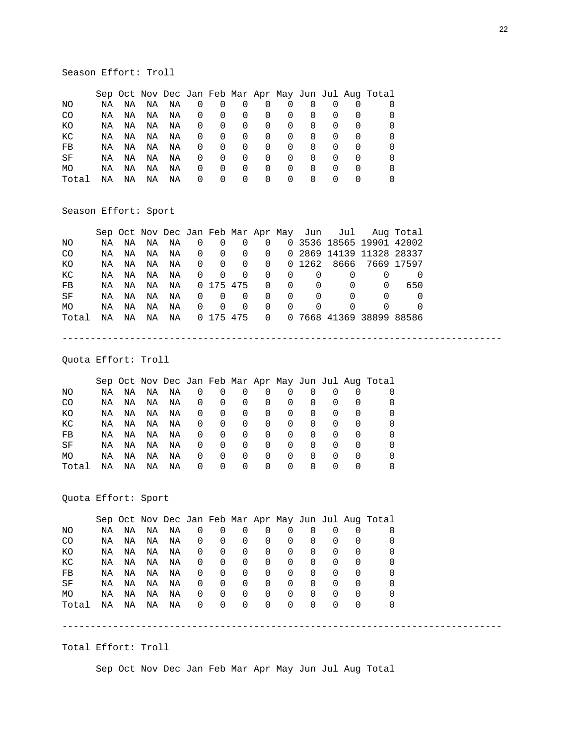# Season Effort: Troll

|           |    |    |    |    |          |          |          |          |          |                  |          |                  | Sep Oct Nov Dec Jan Feb Mar Apr May Jun Jul Aug Total |
|-----------|----|----|----|----|----------|----------|----------|----------|----------|------------------|----------|------------------|-------------------------------------------------------|
| NO.       | ΝA | ΝA | ΝA | ΝA | U        |          |          | O        | O        |                  |          |                  |                                                       |
| CO        | NA | ΝA | ΝA | ΝA | $\Omega$ | $\Omega$ | $\Omega$ | $\Omega$ | O        | $\Omega$         |          |                  |                                                       |
| ΚO        | ΝA | ΝA | ΝA | ΝA | $\Omega$ | $\Omega$ | $\Omega$ | $\Omega$ | 0        | $\Omega$         |          | $\left( \right)$ |                                                       |
| КC        | ΝA | ΝA | ΝA | ΝA | 0        | 0        | 0        | 0        | 0        | 0                | 0        | $\Omega$         |                                                       |
| FB        | ΝA | ΝA | ΝA | ΝA | $\Omega$ | 0        | $\Omega$ | 0        | 0        | 0                | 0        |                  |                                                       |
| SF        | ΝA | ΝA | ΝA | ΝA | $\Omega$ | 0        | $\Omega$ | 0        | $\Omega$ | $\left( \right)$ | $\left($ | <sup>0</sup>     |                                                       |
| <b>MO</b> | ΝA | ΝA | ΝA | ΝA | $\Omega$ | 0        | 0        | 0        | 0        | $\left( \right)$ | O        | $\left( \right)$ |                                                       |
| Total     | ΝA | ΝA | ΝA | ΝA | 0        | $\Omega$ | $\Omega$ | 0        | $\Omega$ | $\left( \right)$ |          | $\Omega$         |                                                       |

# Season Effort: Sport

|       |    |    |    |    |                |                         |                |                |          |          |          | Sep Oct Nov Dec Jan Feb Mar Apr May Jun Jul Aug Total |                  |  |
|-------|----|----|----|----|----------------|-------------------------|----------------|----------------|----------|----------|----------|-------------------------------------------------------|------------------|--|
| NO.   | NA | NA | ΝA | ΝA | $\Omega$       | $\Omega$                | $\Omega$       | $\overline{0}$ |          |          |          | 0 3536 18565 19901 42002                              |                  |  |
| CO.   | NA | ΝA | ΝA | ΝA | $\overline{0}$ | $\overline{0}$          | $\overline{0}$ | $\overline{0}$ |          |          |          | 0 2869 14139 11328 28337                              |                  |  |
| КO    | NA | NA | ΝA | ΝA | $\overline{0}$ | $\overline{\mathbf{0}}$ | $\overline{0}$ | $\overline{0}$ |          | 0 1262   |          | 8666 7669 17597                                       |                  |  |
| КC    | NA | ΝA | ΝA | ΝA | $\overline{0}$ | $\Omega$                | $\Omega$       | $\Omega$       | 0        | 0        | $\left($ |                                                       | $\left( \right)$ |  |
| FB    | NA | ΝA | ΝA | ΝA |                | 0 175 475               |                | $\Omega$       | $\Omega$ | $\Omega$ | 0        | $\Omega$                                              | 650              |  |
| SF    | NA | ΝA | ΝA | ΝA | $\Omega$       | $\Omega$                | $\Omega$       | $\Omega$       | $\Omega$ | $\Omega$ | $\Omega$ |                                                       | $\left( \right)$ |  |
| MO.   | NA | ΝA | ΝA | ΝA | $\Omega$       | $\Omega$                | $\Omega$       | $\Omega$       | $\Omega$ | $\Omega$ | 0        |                                                       | $\left( \right)$ |  |
| Total | NA | ΝA | ΝA | ΝA |                | 0 175 475               |                | $\Omega$       |          |          |          | 0 7668 41369 38899 88586                              |                  |  |

------------------------------------------------------------------------------

Quota Effort: Troll

|       |    |    |    |    |          |          |                  |          |                  |                  |                  |                  | Sep Oct Nov Dec Jan Feb Mar Apr May Jun Jul Aug Total |
|-------|----|----|----|----|----------|----------|------------------|----------|------------------|------------------|------------------|------------------|-------------------------------------------------------|
| ΝO    | ΝA | NA | ΝA | ΝA | O        | O        | O                | 0        | 0                |                  |                  |                  |                                                       |
| CO    | ΝA | NA | ΝA | ΝA | O        | 0        | O                | $\Omega$ | $\Omega$         | $\Omega$         | $\cup$           |                  |                                                       |
| ΚO    | ΝA | ΝA | ΝA | ΝA | O        | $\Omega$ | $\Omega$         | $\Omega$ | $\Omega$         | $\Omega$         | $\left($         | $\left( \right)$ |                                                       |
| КC    | ΝA | ΝA | ΝA | ΝA | $\Omega$ | 0        | $\Omega$         | 0        | $\Omega$         | $\Omega$         | $\left($         |                  |                                                       |
| FB    | ΝA | ΝA | ΝA | ΝA | O        | 0        | 0                | 0        | $\Omega$         | 0                | $\Omega$         |                  |                                                       |
| SF    | ΝA | ΝA | ΝA | ΝA | O        | 0        | $\Omega$         | 0        | $\Omega$         | $\Omega$         | $\left( \right)$ | $\left($         |                                                       |
| MO    | ΝA | ΝA | ΝA | ΝA | $\cup$   | 0        | $\left( \right)$ | 0        | $\left( \right)$ | $\left( \right)$ | $\left($         | $\left( \right)$ |                                                       |
| Total | ΝA | ΝA | ΝA | ΝA | $\Omega$ | $\Omega$ | $\Omega$         | 0        | $\Omega$         | $\Omega$         | $\left( \right)$ |                  |                                                       |

Quota Effort: Sport

|       |    |    |    |    |                  |                  |          |          |          |          |          |          | Sep Oct Nov Dec Jan Feb Mar Apr May Jun Jul Aug Total |
|-------|----|----|----|----|------------------|------------------|----------|----------|----------|----------|----------|----------|-------------------------------------------------------|
| NΟ    | ΝA | ΝA | ΝA | ΝA | O                | 0                |          | 0        | 0        | $\Omega$ | $\Omega$ |          |                                                       |
| CO    | ΝA | ΝA | ΝA | ΝA | O                | 0                |          | 0        | $\Omega$ | 0        | $\Omega$ |          |                                                       |
| КO    | ΝA | ΝA | ΝA | ΝA | O                | 0                | 0        | 0        | $\Omega$ | 0        | 0        |          |                                                       |
| КC    | ΝA | ΝA | ΝA | ΝA | O                | 0                | $\Omega$ | 0        | $\Omega$ | 0        | O        | O        |                                                       |
| FB    | ΝA | ΝA | ΝA | ΝA | O                | 0                | $\Omega$ | 0        | $\Omega$ | 0        | O        | O        |                                                       |
| SF    | ΝA | ΝA | ΝA | ΝA | O                | 0                | $\Omega$ | 0        | $\Omega$ | 0        | $\left($ | O        |                                                       |
| MO    | ΝA | ΝA | ΝA | ΝA | O                | 0                | $\Omega$ | 0        | $\Omega$ | $\Omega$ | $\left($ | $\left($ | $\left( \right)$                                      |
| Total | ΝA | ΝA | ΝA | ΝA | $\left( \right)$ | $\left( \right)$ | $\left($ | $\Omega$ | $\left($ | $\Omega$ | $\left($ |          | $\left( \right)$                                      |
|       |    |    |    |    |                  |                  |          |          |          |          |          |          |                                                       |

Total Effort: Troll

Sep Oct Nov Dec Jan Feb Mar Apr May Jun Jul Aug Total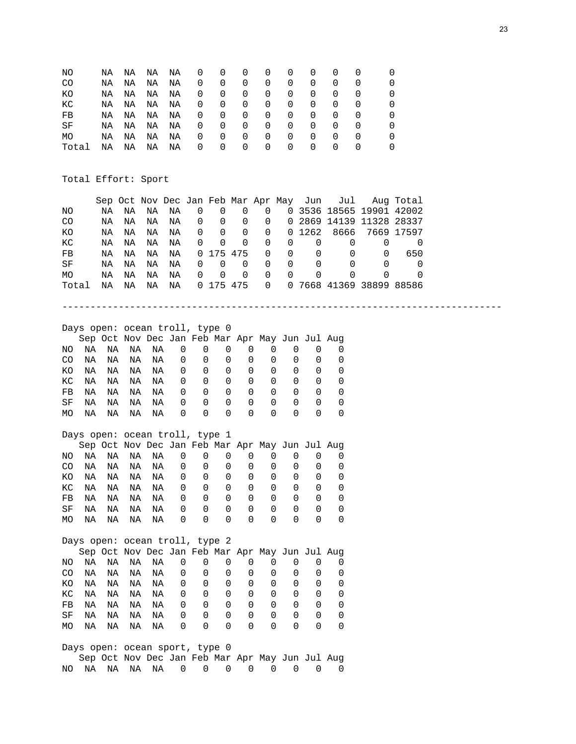| ΝO        | NA | NA | NA | NA | U | $\Omega$ | O        | $\Omega$         | O                | O                | O                |                  |  |
|-----------|----|----|----|----|---|----------|----------|------------------|------------------|------------------|------------------|------------------|--|
| CO        | ΝA | ΝA | ΝA | ΝA | 0 | $\Omega$ | 0        | 0                | $\Omega$         | $\Omega$         | $\Omega$         | $\left( \right)$ |  |
| КO        | NA | NA | ΝA | ΝA | 0 | $\Omega$ | $\Omega$ | $\Omega$         | $\Omega$         | $\Omega$         | $\Omega$         | $\left( \right)$ |  |
| КC        | NA | NA | NA | ΝA | 0 | $\Omega$ | 0        | $\Omega$         | $\Omega$         | 0                | $\Omega$         | $\left($         |  |
| FB        | ΝA | NA | ΝA | ΝA | 0 | $\Omega$ | 0        | $\Omega$         | $\Omega$         | 0                | $\Omega$         | $\left($         |  |
| SF        | NA | NA | ΝA | NA | 0 | 0        | 0        | 0                | $\Omega$         | $\Omega$         | $\Omega$         | $\left($         |  |
| <b>MO</b> | NA | ΝA | ΝA | ΝA | 0 | $\Omega$ | $\Omega$ | $\Omega$         | $\Omega$         | $\Omega$         | O                | $\left( \right)$ |  |
| Total     | ΝA | ΝA | ΝA | ΝA | 0 | $\Omega$ | O        | $\left( \right)$ | $\left( \right)$ | $\left( \right)$ | $\left( \right)$ | $\left( \right)$ |  |

Total Effort: Sport

|       |                            |      |    |    |                                |             |             |             |   |               |                                                 | Sep Oct Nov Dec Jan Feb Mar Apr May Jun Jul |                          | Aug Total        |
|-------|----------------------------|------|----|----|--------------------------------|-------------|-------------|-------------|---|---------------|-------------------------------------------------|---------------------------------------------|--------------------------|------------------|
| ΝO    |                            | NA   | ΝA | ΝA | ΝA                             | 0           | 0           | 0           | 0 |               |                                                 |                                             | 0 3536 18565 19901 42002 |                  |
| CO    |                            | ΝA   | ΝA | NA | NA                             | $\Omega$    | 0           | $\mathbf 0$ | 0 |               |                                                 |                                             | 0 2869 14139 11328 28337 |                  |
| ΚO    |                            | ΝA   | ΝA | NA | NA                             | $\Omega$    | $\Omega$    | $\Omega$    | 0 |               | 0 1262                                          | 8666                                        |                          | 7669 17597       |
| КC    |                            | ΝA   | ΝA | ΝA | NA                             | $\Omega$    | $\Omega$    | $\Omega$    | 0 | 0             | $\Omega$                                        | $\Omega$                                    | $\Omega$                 | 0                |
| FB    |                            | ΝA   | ΝA | ΝA | NA                             | 0           | 175 475     |             | 0 | $\mathbf 0$   | 0                                               | $\Omega$                                    | 0                        | 650              |
| SF    |                            | ΝA   | ΝA | ΝA | NA                             | 0           | 0           | $\mathbf 0$ | 0 | $\Omega$      | $\Omega$                                        | $\Omega$                                    | 0                        | 0                |
| МO    |                            | ΝA   | ΝA | ΝA | NA                             | $\Omega$    | $\Omega$    | $\Omega$    | 0 | $\Omega$      | 0                                               | 0                                           | 0                        | $\left( \right)$ |
| Total |                            | ΝA   | ΝA | ΝA | ΝA                             |             | 0 175 475   |             | 0 |               |                                                 |                                             | 0 7668 41369 38899 88586 |                  |
|       |                            |      |    |    |                                |             |             |             |   |               |                                                 |                                             |                          |                  |
|       |                            |      |    |    |                                |             |             |             |   |               |                                                 |                                             |                          |                  |
|       |                            |      |    |    |                                |             |             |             |   |               |                                                 |                                             |                          |                  |
|       |                            |      |    |    | Days open: ocean troll, type 0 |             |             |             |   |               |                                                 |                                             |                          |                  |
|       |                            |      |    |    |                                |             |             |             |   |               | Sep Oct Nov Dec Jan Feb Mar Apr May Jun Jul Aug |                                             |                          |                  |
| NO.   | ΝA                         | ΝA   | ΝA | ΝA | 0                              | 0           | 0           | $\Omega$    |   | 0<br>0        | 0                                               | 0                                           |                          |                  |
| CO.   | ΝA                         | ΝA   | ΝA | ΝA | 0                              | 0           | 0           | 0           |   | 0<br>0        | 0                                               | 0                                           |                          |                  |
| КO    | ΝA                         | ΝA   | ΝA | NA | 0                              | 0           | $\mathbf 0$ | 0           |   | 0<br>0        | $\Omega$                                        | 0                                           |                          |                  |
| КC    | NA                         | ΝA   | ΝA | NA | 0                              | 0           | 0           | $\mathbf 0$ |   | 0<br>0        | $\Omega$                                        | 0                                           |                          |                  |
| FB    | ΝA                         | ΝA   | ΝA | ΝA | 0                              | $\mathbf 0$ | $\mathbf 0$ | $\mathbf 0$ |   | 0<br>0        | 0                                               | 0                                           |                          |                  |
| SF    | ΝA                         | ΝA   | ΝA | NA | 0                              | $\mathbf 0$ | $\Omega$    | $\Omega$    |   | 0<br>$\Omega$ | $\Omega$                                        | 0                                           |                          |                  |
| MO.   | ΝA                         | ΝA   | ΝA | ΝA | 0                              | $\Omega$    | 0           |             | 0 | $\Omega$<br>0 | 0                                               | 0                                           |                          |                  |
|       |                            |      |    |    |                                |             |             |             |   |               |                                                 |                                             |                          |                  |
|       |                            |      |    |    | Days open: ocean troll, type 1 |             |             |             |   |               |                                                 |                                             |                          |                  |
|       |                            |      |    |    |                                |             |             |             |   |               | Sep Oct Nov Dec Jan Feb Mar Apr May Jun Jul Aug |                                             |                          |                  |
| NO.   | NA                         | NA   | NA | ΝA | $\Omega$                       | 0           | 0           | $\Omega$    |   | 0<br>$\Omega$ | 0                                               | $\Omega$                                    |                          |                  |
|       | $\cap$ $\cap$ $\mathbb{N}$ | NT 7 |    |    | ח חות מותנות אזור              |             |             |             |   |               | $\cap$                                          | $\cap$                                      |                          |                  |

|  |  | CO NA NA NA NA 0 0 0 0 0 0 0 0 0 |  |  |  |  |
|--|--|----------------------------------|--|--|--|--|
|  |  | KONANANANA 00000000              |  |  |  |  |
|  |  | KC NA NA NA NA 000000000         |  |  |  |  |
|  |  | FB NA NA NA NA 000000000         |  |  |  |  |
|  |  | SF NANANANA OOOOOOOOO            |  |  |  |  |
|  |  | MONANANANA 0000000               |  |  |  |  |

|     |    |    |    | Days open: ocean troll, type 2 |   |          |              |   |   |              |                  |                                                 |
|-----|----|----|----|--------------------------------|---|----------|--------------|---|---|--------------|------------------|-------------------------------------------------|
|     |    |    |    |                                |   |          |              |   |   |              |                  | Sep Oct Nov Dec Jan Feb Mar Apr May Jun Jul Aug |
| NO. | NA | NA |    | NA NA                          | 0 | 0        | $\Omega$     | 0 |   |              |                  |                                                 |
| CO  | NA | NA | NA | NA                             | 0 | 0        | 0            | 0 | 0 |              | $\left( \right)$ |                                                 |
| КO  | NA | NA | NA | NA                             | 0 | 0        | 0            | 0 | 0 | 0            | 0                |                                                 |
| КC  | ΝA | ΝA | NA | ΝA                             | 0 | 0        | 0            | 0 | 0 |              | 0                | $\Omega$                                        |
| FB  | ΝA | ΝA | NA | ΝA                             | 0 | 0        | <sup>0</sup> | 0 | 0 | $\Omega$     | 0                | $\left( \right)$                                |
| SF  | ΝA | ΝA | ΝA | ΝA                             | 0 | 0        | <sup>0</sup> | 0 | 0 | <sup>0</sup> | <sup>0</sup>     |                                                 |
| МO  | ΝA | ΝA | ΝA | ΝA                             | 0 | $\Omega$ | 0            | 0 |   |              |                  |                                                 |

|  | Days open: ocean sport, type 0 |  |  |  |  |                                                 |
|--|--------------------------------|--|--|--|--|-------------------------------------------------|
|  |                                |  |  |  |  | Sep Oct Nov Dec Jan Feb Mar Apr May Jun Jul Aug |
|  |                                |  |  |  |  | NO NA  NA  NA  NA  O  O  O  O  O  O  O  O  O  O |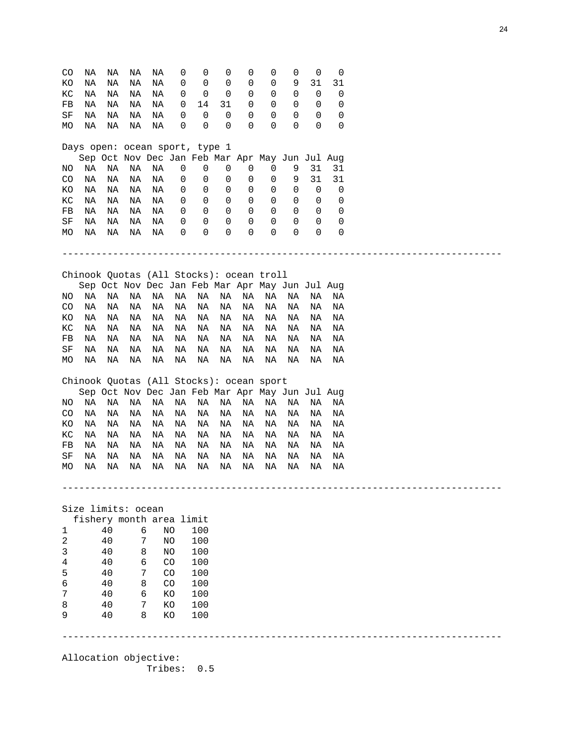| CO          | ΝA                 | ΝA | ΝA | ΝA                                              | 0           | 0   | 0  | 0           | 0  | 0           | 0  | 0  |  |
|-------------|--------------------|----|----|-------------------------------------------------|-------------|-----|----|-------------|----|-------------|----|----|--|
| ΚO          | ΝA                 | ΝA | ΝA | ΝA                                              | 0           | 0   | 0  | 0           | 0  | 9           | 31 | 31 |  |
| КC          | ΝA                 | ΝA | ΝA | ΝA                                              | 0           | 0   | 0  | 0           | 0  | 0           | 0  | 0  |  |
| FB          | ΝA                 | ΝA | ΝA | ΝA                                              | 0           | 14  | 31 | 0           | 0  | 0           | 0  | 0  |  |
| SF          | ΝA                 | ΝA | ΝA | ΝA                                              | 0           | 0   | 0  | 0           | 0  | 0           | 0  | 0  |  |
| МO          | ΝA                 | ΝA | ΝA | ΝA                                              | 0           | 0   | 0  | 0           | 0  | $\Omega$    | 0  | 0  |  |
|             |                    |    |    | Days open: ocean sport, type 1                  |             |     |    |             |    |             |    |    |  |
|             |                    |    |    | Sep Oct Nov Dec Jan Feb Mar Apr May Jun Jul Aug |             |     |    |             |    |             |    |    |  |
| ΝO          | ΝA                 | ΝA | ΝA | ΝA                                              | 0           | 0   | 0  | 0           | 0  | 9           | 31 | 31 |  |
| CO.         | ΝA                 | ΝA | ΝA | ΝA                                              | 0           | 0   | 0  | 0           | 0  | 9           | 31 | 31 |  |
| ΚO          | ΝA                 | ΝA | ΝA | ΝA                                              | 0           | 0   | 0  | $\mathbf 0$ | 0  | 0           | 0  | 0  |  |
| КC          | ΝA                 | ΝA | ΝA | ΝA                                              | 0           | 0   | 0  | 0           | 0  | 0           | 0  | 0  |  |
| FB          | ΝA                 | ΝA | ΝA | ΝA                                              | 0           | 0   | 0  | 0           | 0  | 0           | 0  | 0  |  |
| SF          | ΝA                 | ΝA | ΝA | ΝA                                              | 0           | 0   | 0  | 0           | 0  | $\mathbf 0$ | 0  | 0  |  |
|             |                    | ΝA | ΝA | ΝA                                              | 0           | 0   | 0  | 0           | 0  | $\mathbf 0$ | 0  | 0  |  |
| МO          | ΝA                 |    |    |                                                 |             |     |    |             |    |             |    |    |  |
|             |                    |    |    |                                                 |             |     |    |             |    |             |    |    |  |
|             |                    |    |    | Chinook Quotas (All Stocks): ocean troll        |             |     |    |             |    |             |    |    |  |
|             |                    |    |    | Sep Oct Nov Dec Jan Feb Mar Apr May Jun Jul Aug |             |     |    |             |    |             |    |    |  |
| ΝO          | ΝA                 | ΝA | ΝA | ΝA                                              | ΝA          | ΝA  | ΝA | ΝA          | ΝA | ΝA          | ΝA | ΝA |  |
| CO          | ΝA                 | ΝA | ΝA | ΝA                                              | ΝA          | ΝA  | ΝA | ΝA          | ΝA | ΝA          | ΝA | ΝA |  |
| ΚO          | ΝA                 | ΝA | ΝA | ΝA                                              | ΝA          | ΝA  | ΝA | ΝA          | ΝA | ΝA          | ΝA | ΝA |  |
| КC          | ΝA                 | ΝA | ΝA | ΝA                                              | ΝA          | ΝA  | ΝA | ΝA          | ΝA | ΝA          | ΝA | ΝA |  |
| FB          | ΝA                 | ΝA | ΝA | ΝA                                              | ΝA          | ΝA  | ΝA | ΝA          | ΝA | ΝA          | ΝA | ΝA |  |
| SF          | ΝA                 | ΝA | ΝA | ΝA                                              | ΝA          | ΝA  | ΝA | ΝA          | ΝA | ΝA          | ΝA | ΝA |  |
| MO          | ΝA                 | ΝA | ΝA | ΝA                                              | ΝA          | ΝA  | ΝA | ΝA          | ΝA | ΝA          | ΝA | ΝA |  |
|             |                    |    |    |                                                 |             |     |    |             |    |             |    |    |  |
|             |                    |    |    | Chinook Quotas (All Stocks): ocean sport        |             |     |    |             |    |             |    |    |  |
|             |                    |    |    | Sep Oct Nov Dec Jan Feb Mar Apr May Jun Jul Aug |             |     |    |             |    |             |    |    |  |
| NO.         | ΝA                 | ΝA | ΝA | ΝA                                              | ΝA          | ΝA  | ΝA | ΝA          | ΝA | ΝA          | ΝA | ΝA |  |
| CO.         | ΝA                 | ΝA | ΝA | ΝA                                              | ΝA          | ΝA  | ΝA | ΝA          | ΝA | ΝA          | ΝA | ΝA |  |
| КO          | ΝA                 | ΝA | ΝA | ΝA                                              | ΝA          | ΝA  | ΝA | ΝA          | ΝA | ΝA          | ΝA | ΝA |  |
| КC          | ΝA                 | ΝA | ΝA | ΝA                                              | ΝA          | ΝA  | ΝA | ΝA          | ΝA | ΝA          | ΝA | ΝA |  |
| ${\rm FB}$  | NA                 | ΝA | ΝA | ΝA                                              | ΝA          | ΝA  | ΝA | ΝA          | ΝA | ΝA          | ΝA | ΝA |  |
| SF          | ΝA                 | ΝA | ΝA | ΝA                                              | ΝA          | ΝA  | ΝA | ΝA          | ΝA | ΝA          | ΝA | ΝA |  |
|             |                    |    |    |                                                 |             |     |    |             |    |             |    |    |  |
| МO          | ΝA                 | ΝA | ΝA | ΝA                                              | ΝA          | ΝA  | ΝA | ΝA          | ΝA | ΝA          | ΝA | ΝA |  |
|             |                    |    |    |                                                 |             |     |    |             |    |             |    |    |  |
|             | Size limits: ocean |    |    |                                                 |             |     |    |             |    |             |    |    |  |
|             |                    |    |    | fishery month area limit                        |             |     |    |             |    |             |    |    |  |
|             |                    | 40 |    | 6                                               | NO.         | 100 |    |             |    |             |    |    |  |
| $\mathbf 1$ |                    | 40 |    | 7                                               | NO          | 100 |    |             |    |             |    |    |  |
| 2           |                    |    |    |                                                 | NO          | 100 |    |             |    |             |    |    |  |
| 3           |                    | 40 | 8  |                                                 |             |     |    |             |    |             |    |    |  |
|             |                    |    | 6  |                                                 | CO          |     |    |             |    |             |    |    |  |
| 4           |                    | 40 |    |                                                 |             | 100 |    |             |    |             |    |    |  |
| 5           |                    | 40 |    | 7                                               | CO          | 100 |    |             |    |             |    |    |  |
| 6           |                    | 40 |    | 8                                               | $_{\rm CO}$ | 100 |    |             |    |             |    |    |  |
| 7           |                    | 40 |    | 6                                               | KO          | 100 |    |             |    |             |    |    |  |
| 8           |                    | 40 |    | 7                                               | KO          | 100 |    |             |    |             |    |    |  |
| 9           |                    | 40 |    | 8                                               | KO          | 100 |    |             |    |             |    |    |  |

Allocation objective: Tribes: 0.5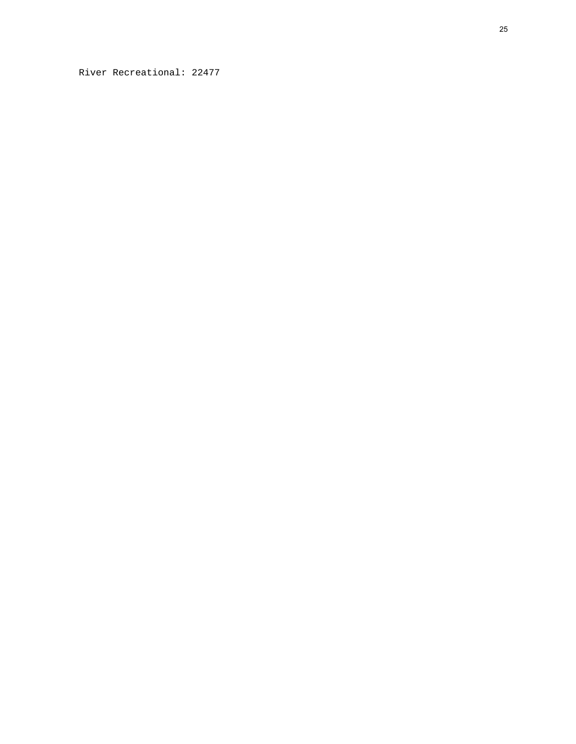River Recreational: 22477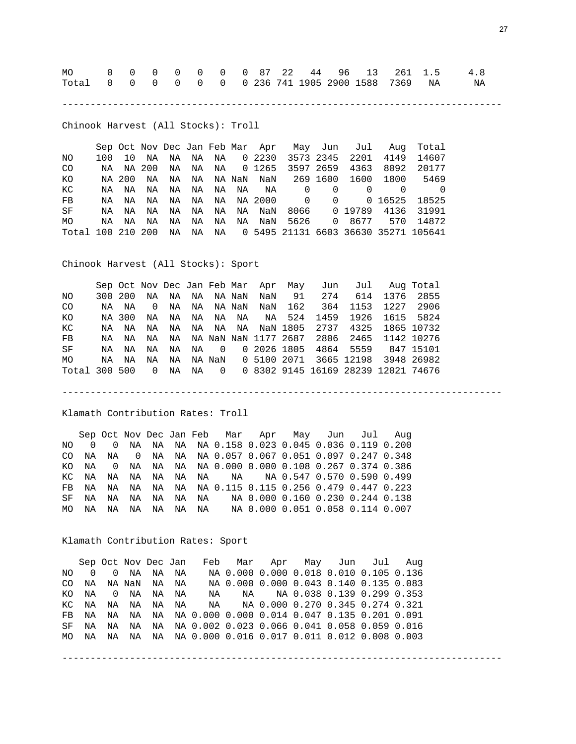| Total 0 0 0 0 0 0 0 236 741 1905 2900 1588 7369 NA NA |  |  |  |  |  |  |  |  |
|-------------------------------------------------------|--|--|--|--|--|--|--|--|

------------------------------------------------------------------------------

Chinook Harvest (All Stocks): Troll

 Sep Oct Nov Dec Jan Feb Mar Apr May Jun Jul Aug Total NO 100 10 NA NA NA NA 0 2230 3573 2345 2201 4149 14607 CO NA NA 200 NA NA NA 0 1265 3597 2659 4363 8092 20177 KO NA 200 NA NA NA NA NaN NaN 269 1600 1600 1800 5469 KC NA NA NA NA NA NA NA NA 0 0 0 0 0 0<br>FB NA NA NA NA NA NA NA 2000 0 0 0 16525 18525 FB NA NA NA NA NA NA NA 2000 0 0 0 16525 18525 SF NA NA NA NA NA NA NA NaN 8066 0 19789 4136 31991 MO NA NA NA NA NA NA NA NaN 5626 0 8677 570 14872 Total 100 210 200 NA NA NA 0 5495 21131 6603 36630 35271 105641

Chinook Harvest (All Stocks): Sport

|               |       |         |          |    |  |             | Sep Oct Nov Dec Jan Feb Mar Apr May |         |                              | Jun Jul Aug Total                                         |           |
|---------------|-------|---------|----------|----|--|-------------|-------------------------------------|---------|------------------------------|-----------------------------------------------------------|-----------|
| NO.           |       | 300 200 | NA       |    |  | NA NA NANAN |                                     | NaN 91  |                              | 274 614 1376 2855                                         |           |
| <b>CO</b>     |       | NA NA   | $\Omega$ |    |  | NA NA NANAN |                                     | NaN 162 |                              | 364 1153 1227 2906                                        |           |
| КO            |       | NA 300  | NA       |    |  |             |                                     |         | NA NA NA NA NA 524 1459 1926 |                                                           | 1615 5824 |
| КC            |       | NA NA   | NA       |    |  |             |                                     |         |                              | NA NA NA NA NAN 1805 2737 4325 1865 10732                 |           |
| FB            |       | NA NA   |          |    |  |             |                                     |         |                              | NA  NA  NA  NaN  NaN  1177  2687  2806  2465  1142  10276 |           |
| SF            | NA NA |         | NA       |    |  |             |                                     |         |                              | NA NA 0 020261805 4864 5559 84715101                      |           |
| MO            | NA    | ΝA      | NA       |    |  |             |                                     |         |                              | NA NA NaN 0 5100 2071 3665 12198 3948 26982               |           |
| Total 300 500 |       |         | $\Omega$ | NA |  |             |                                     |         |                              | NA 0 0 8302 9145 16169 28239 12021 74676                  |           |

------------------------------------------------------------------------------

Klamath Contribution Rates: Troll

 Sep Oct Nov Dec Jan Feb Mar Apr May Jun Jul Aug NO 0 0 NA NA NA NA 0.158 0.023 0.045 0.036 0.119 0.200 CO NA NA 0 NA NA NA 0.057 0.067 0.051 0.097 0.247 0.348 KO NA 0 NA NA NA NA 0.000 0.000 0.108 0.267 0.374 0.386 KC NA NA NA NA NA NA NA NA 0.547 0.570 0.590 0.499 FB NA NA NA NA NA NA 0.115 0.115 0.256 0.479 0.447 0.223 SF NA NA NA NA NA NA NA 0.000 0.160 0.230 0.244 0.138 MO NA NA NA NA NA NA NA 0.000 0.051 0.058 0.114 0.007

Klamath Contribution Rates: Sport

 Sep Oct Nov Dec Jan Feb Mar Apr May Jun Jul Aug NO 0 0 NA NA NA NA 0.000 0.000 0.018 0.010 0.105 0.136 CO NA NA NaN NA NA NA 0.000 0.000 0.043 0.140 0.135 0.083 KO NA 0 NA NA NA NA NA NA 0.038 0.139 0.299 0.353 NA NA 0.000 0.270 0.345 0.274 0.321 FB NA NA NA NA NA 0.000 0.000 0.014 0.047 0.135 0.201 0.091 SF NA NA NA NA NA 0.002 0.023 0.066 0.041 0.058 0.059 0.016 MO NA NA NA NA NA 0.000 0.016 0.017 0.011 0.012 0.008 0.003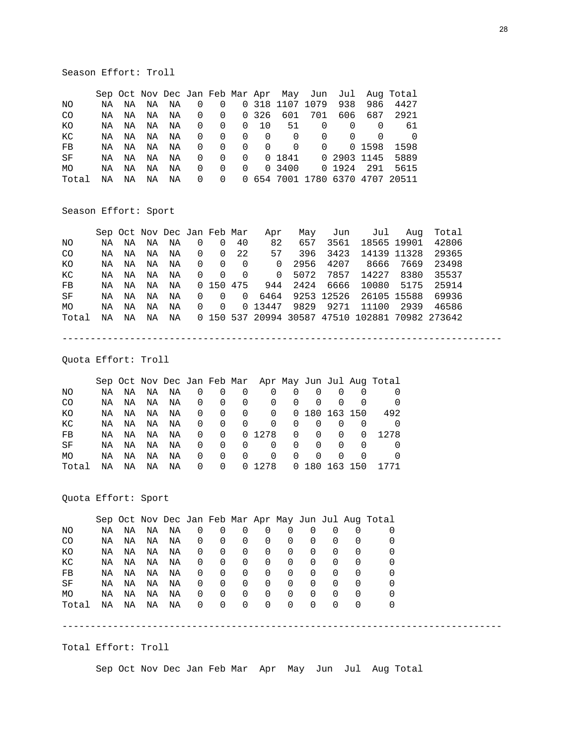# Season Effort: Troll

|       |    |    |    |    |                         |          |           |          |                 |                    |          |        | Sep Oct Nov Dec Jan Feb Mar Apr May Jun Jul Aug Total |
|-------|----|----|----|----|-------------------------|----------|-----------|----------|-----------------|--------------------|----------|--------|-------------------------------------------------------|
| NO.   | NA | ΝA | NA | NA | $\overline{\mathbf{0}}$ | 0        |           |          | 0 318 1107 1079 |                    | 938      | 986    | 4427                                                  |
| CO.   | NA | ΝA | NA | NA | $\overline{0}$          |          | 0 0 3 2 6 |          | 601             | 701                | 606      | 687    | 2921                                                  |
| КO    | NA | ΝA | NA | NA | $\overline{0}$          | $\Omega$ | $\Omega$  | - 10     | 51              | $\Omega$           | $\Omega$ | - 0    | -61                                                   |
| КC    | NA | NA | NA | ΝA | $\overline{0}$          | $\Omega$ | $\Omega$  | - 0      | $\Omega$        | $\Omega$           | $\Omega$ | 0      |                                                       |
| FB    | NA | ΝA | NA | ΝA | $\overline{0}$          | $\Omega$ | $\Omega$  | $\Omega$ | $\Omega$        | $\Omega$           |          | 0 1598 | 1598                                                  |
| SF    | NA | NA | NA | ΝA | $\overline{0}$          | $\Omega$ | $\Omega$  |          |                 | 0 1841 0 2903 1145 |          |        | 5889                                                  |
| MO.   | NA | ΝA | NA | ΝA | $\overline{0}$          | $\Omega$ | $\Omega$  |          | 0 3400          |                    | 0 1924   | 291    | 5615                                                  |
| Total | ΝA | ΝA | ΝA | ΝA | $\overline{0}$          | $\Omega$ |           |          |                 |                    |          |        | 0 654 7001 1780 6370 4707 20511                       |

## Season Effort: Sport

|       |    |    |    |    |          |                | Sep Oct Nov Dec Jan Feb Mar | Apr      | Mav  | Jun       |                                                 | Jul Aug     | Total |
|-------|----|----|----|----|----------|----------------|-----------------------------|----------|------|-----------|-------------------------------------------------|-------------|-------|
| NO.   | NA | ΝA | NA | ΝA | $\Omega$ | $\Omega$       | 40                          | 82       | 657  | 3561      |                                                 | 18565 19901 | 42806 |
| CO.   | NA | ΝA | NA | ΝA | $\Omega$ | $\Omega$       | 22                          | 57       | 396  | 3423      | 14139 11328                                     |             | 29365 |
| КO    | NA | ΝA | ΝA | ΝA | $\Omega$ | $\Omega$       | $\Omega$                    | $\Omega$ | 2956 | 4207      | 8666                                            | 7669        | 23498 |
| КC    | NA | ΝA | ΝA | ΝA | $\Omega$ | $\Omega$       | $\Omega$                    | . വ      | 5072 | 7857      | 14227                                           | 8380        | 35537 |
| FB    | NA | ΝA | ΝA | ΝA |          |                | 0 150 475                   | 944      | 2424 | 6666      | 10080                                           | 5175        | 25914 |
| SF    | NA | ΝA | ΝA | ΝA | $\Omega$ | $\Omega$       | $\Omega$                    | 6464     |      |           | 9253 12526 26105 15588                          |             | 69936 |
| MO.   | NA | ΝA | ΝA | ΝA | $\Omega$ | $\overline{0}$ |                             | 0 13447  |      | 9829 9271 | 11100                                           | 2939        | 46586 |
| Total | NA | ΝA | ΝA | ΝA |          |                |                             |          |      |           | 0 150 537 20994 30587 47510 102881 70982 273642 |             |       |

------------------------------------------------------------------------------

Quota Effort: Troll

|       |    |    |    |    |          |          |          |              |          |               |          |              | Sep Oct Nov Dec Jan Feb Mar Apr May Jun Jul Aug Total |
|-------|----|----|----|----|----------|----------|----------|--------------|----------|---------------|----------|--------------|-------------------------------------------------------|
| NO.   | ΝA | ΝA | NA | ΝA | 0        | 0        | 0        | 0            |          |               | $\Omega$ |              |                                                       |
| CO    | NA | ΝA | NA | ΝA | 0        | 0        | 0        | $\Omega$     | 0        | 0             | 0        |              |                                                       |
| ΚO    | ΝA | ΝA | ΝA | ΝA | $\Omega$ | 0        | $\Omega$ | $\Omega$     |          | 0 180 163 150 |          |              | 492                                                   |
| КC    | ΝA | ΝA | ΝA | ΝA | 0        | 0        | $\Omega$ | $\Omega$     | $\Omega$ |               | $\Omega$ |              |                                                       |
| FB    | ΝA | ΝA | NA | ΝA | 0        | $\Omega$ |          | 0 1278       | $\Omega$ | $\Omega$      | $\Omega$ | 0            | 1278                                                  |
| SF    | ΝA | ΝA | NA | ΝA | 0        | $\Omega$ | $\Omega$ | $\Omega$     | $\Omega$ | 0             | 0        | <sup>0</sup> |                                                       |
| MO    | ΝA | ΝA | ΝA | ΝA | 0        | 0        | $\Omega$ | <sup>0</sup> | 0        | $\Omega$      | $\Omega$ | <sup>0</sup> |                                                       |
| Total | ΝA | ΝA | ΝA | ΝA | 0        | 0        |          | 0 1278       |          | 0 180 163 150 |          |              | 1771                                                  |

Quota Effort: Sport

|           |    |    |    |    |          |              |   |                  |   |                  |   |                  | Sep Oct Nov Dec Jan Feb Mar Apr May Jun Jul Aug Total |
|-----------|----|----|----|----|----------|--------------|---|------------------|---|------------------|---|------------------|-------------------------------------------------------|
| ΝO        | ΝA | NA | ΝA | ΝA | 0        | $\Omega$     | O | $\Omega$         |   | O                |   |                  |                                                       |
| CO        | ΝA | NA | ΝA | ΝA | 0        | 0            | 0 | 0                | 0 | O                |   | $\Omega$         |                                                       |
| ΚO        | ΝA | ΝA | ΝA | ΝA | $\Omega$ | 0            | 0 | $\Omega$         | 0 | $\Omega$         | 0 | $\Omega$         |                                                       |
| КC        | NA | NA | NA | ΝA | $\Omega$ | 0            | 0 | $\Omega$         | 0 | $\left($         | 0 | $\Omega$         |                                                       |
| FB        | ΝA | ΝA | ΝA | ΝA | $\Omega$ | 0            | 0 | $\Omega$         | 0 | $\left($         |   | $\left( \right)$ |                                                       |
| SF        | ΝA | ΝA | ΝA | ΝA | 0        | 0            | 0 | $\left( \right)$ | 0 | O                |   | $\left( \right)$ |                                                       |
| <b>MO</b> | ΝA | ΝA | ΝA | ΝA | 0        | 0            | 0 | <sup>0</sup>     | 0 | 0                |   | <sup>0</sup>     |                                                       |
| Total     | ΝA | ΝA | ΝA | ΝA | $\Omega$ | <sup>0</sup> | 0 | $\left( \right)$ |   | $\left( \right)$ |   |                  |                                                       |

------------------------------------------------------------------------------

Total Effort: Troll

Sep Oct Nov Dec Jan Feb Mar Apr May Jun Jul Aug Total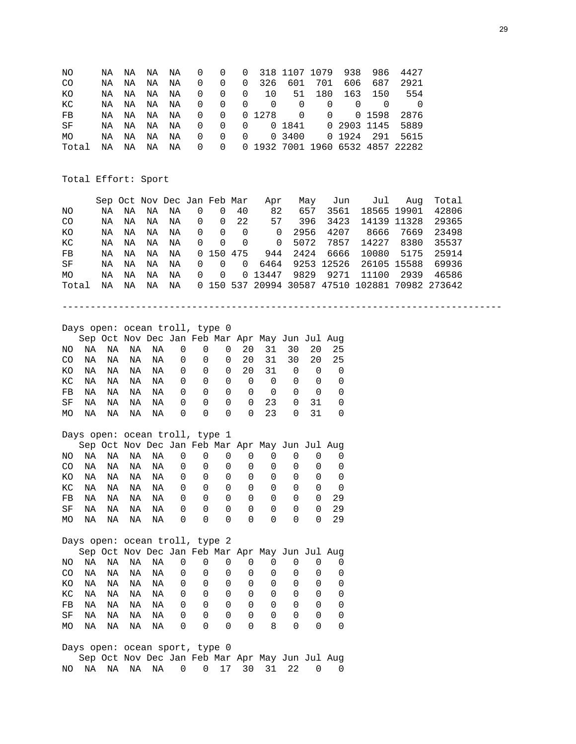| NO                                                     |  |  |  |  |  |  | NA NA NA NA 000 0318 1107 1079 938 986 4427 |
|--------------------------------------------------------|--|--|--|--|--|--|---------------------------------------------|
| CO.                                                    |  |  |  |  |  |  | NA NA NA NA 00003266017016066872921         |
| KO                                                     |  |  |  |  |  |  | NA NA NA NA 0 0 0 10 51 180 163 150 554     |
| KC                                                     |  |  |  |  |  |  |                                             |
| FB                                                     |  |  |  |  |  |  | NA NA NA NA 00001278 000015982876           |
| SF                                                     |  |  |  |  |  |  | NA NA NA NA 0000018410290311455889          |
| MO                                                     |  |  |  |  |  |  | NA NA NA NA 0000034000019242915615          |
| Total NA NA NA NA 0 0 0 1932 7001 1960 6532 4857 22282 |  |  |  |  |  |  |                                             |

Total Effort: Sport

|       |    |    |    | Sep Oct Nov Dec Jan Feb Mar    |    |              |                  |          | Apr                                             |    | May  | Jun        | Jul                                             | Aug   | Total |  |
|-------|----|----|----|--------------------------------|----|--------------|------------------|----------|-------------------------------------------------|----|------|------------|-------------------------------------------------|-------|-------|--|
| NO.   |    | NA | NA | NA                             | ΝA | 0            | $\Omega$         | 40       | 82                                              |    | 657  | 3561       | 18565 19901                                     |       | 42806 |  |
| CO.   |    | NA | NA | NA                             | ΝA | $\Omega$     | $\Omega$         | 22       | 57                                              |    | 396  | 3423       | 14139                                           | 11328 | 29365 |  |
| КO    |    | ΝA | NA | NA                             | ΝA | $\mathbf 0$  | $\mathbf 0$      | $\Omega$ | 0                                               |    | 2956 | 4207       | 8666                                            | 7669  | 23498 |  |
| КC    |    | NA | NA | NA                             | ΝA | $\mathbf 0$  | $\mathbf 0$      | 0        | 0                                               |    | 5072 | 7857       | 14227                                           | 8380  | 35537 |  |
| FB    |    | ΝA | NA | NA                             | ΝA | $\mathbf{0}$ | 150 475          |          | 944                                             |    | 2424 | 6666       | 10080                                           | 5175  | 25914 |  |
| SF    |    | ΝA | NA | ΝA                             | ΝA | $\Omega$     | $\Omega$         | $\Omega$ | 6464                                            |    |      | 9253 12526 | 26105 15588                                     |       | 69936 |  |
| MO    |    | NA | ΝA | NA                             | ΝA | $\Omega$     | $\Omega$         |          | 0 13447                                         |    | 9829 | 9271       | 11100                                           | 2939  | 46586 |  |
| Total |    | NA | ΝA | ΝA                             | ΝA |              |                  |          |                                                 |    |      |            | 0 150 537 20994 30587 47510 102881 70982 273642 |       |       |  |
|       |    |    |    |                                |    |              |                  |          |                                                 |    |      |            |                                                 |       |       |  |
|       |    |    |    | Days open: ocean troll, type 0 |    |              |                  |          |                                                 |    |      |            |                                                 |       |       |  |
|       |    |    |    |                                |    |              |                  |          | Sep Oct Nov Dec Jan Feb Mar Apr May Jun Jul Aug |    |      |            |                                                 |       |       |  |
| NO.   | NA | ΝA | ΝA | ΝA                             | 0  | 0            | $\Omega$         | 20       | 31                                              | 30 | 20   | 25         |                                                 |       |       |  |
| CO.   | ΝA | ΝA | ΝA | ΝA                             | 0  | $\mathbf 0$  | $\Omega$         | 20       | 31                                              | 30 | 20   | 25         |                                                 |       |       |  |
| KO.   | ΝA | ΝA | ΝA | ΝA                             | 0  |              | 0<br>$\mathbf 0$ | 20       | 31                                              | 0  | 0    | 0          |                                                 |       |       |  |
|       |    |    |    |                                |    |              |                  |          |                                                 |    |      |            |                                                 |       |       |  |

|  |  | KC NA NA NA NA 000000000   |  |  |  |  |
|--|--|----------------------------|--|--|--|--|
|  |  | FB NA NA NA NA 000000000   |  |  |  |  |
|  |  | SF NA NA NA NA 00000230310 |  |  |  |  |
|  |  | MONANANANA 00000230310     |  |  |  |  |

# Days open: ocean troll, type 1

|     |    |    |    |    |          |          |                  |          | Sep Oct Nov Dec Jan Feb Mar Apr May Jun Jul Aug |                  |                  |    |
|-----|----|----|----|----|----------|----------|------------------|----------|-------------------------------------------------|------------------|------------------|----|
| NO. | NA | NA | NA | NA | 0        | $\Omega$ | 0                | $\Omega$ |                                                 |                  |                  |    |
| CO. | NA | NA | NA | NA | 0        | $\Omega$ | $\Omega$         | O        | 0                                               |                  | $\left( \right)$ |    |
| KO. | ΝA | NA | NA | NA | $\Omega$ | 0        | 0                | 0        | $\Omega$                                        |                  |                  |    |
| KC  | NA | NA | NA | NA | 0        | 0        | 0                | 0        | $\Omega$                                        |                  | $\Omega$         |    |
| FB. | NA | NA | NA | NA | 0        | $\Omega$ | $\left( \right)$ | $\Omega$ | $\Omega$                                        | $\left( \right)$ | 0                | 29 |
| SF  | ΝA | NA | NA | NA | 0        | $\Omega$ | 0                | $\Omega$ | $\Omega$                                        | $\left( \right)$ | 0                | 29 |
| MO. | ΝA | NA | NA | NA | 0        | $\Omega$ | 0                | 0        |                                                 |                  |                  | 29 |

|     |    |    |    | Days open: ocean troll, type 2                  |   |   |   |              |              |              |                  |          |
|-----|----|----|----|-------------------------------------------------|---|---|---|--------------|--------------|--------------|------------------|----------|
|     |    |    |    | Sep Oct Nov Dec Jan Feb Mar Apr May Jun Jul Aug |   |   |   |              |              |              |                  |          |
| NO. | NA | NA | NA | NA                                              | 0 | 0 | 0 | 0            | 0            |              |                  |          |
| CO. | ΝA | ΝA | NA | ΝA                                              | 0 | 0 | 0 | 0            | 0            |              |                  |          |
| KO. | NA | ΝA | ΝA | ΝA                                              | 0 | 0 | 0 | 0            | 0            | 0            | 0                | $\Omega$ |
| КC  | NA | ΝA | NA | ΝA                                              | 0 | 0 | 0 | 0            | <sup>0</sup> | 0            | $\Omega$         | $\left($ |
| FB  | ΝA | ΝA | ΝA | ΝA                                              | 0 | 0 | 0 | <sup>0</sup> | 0            | 0            | $\left( \right)$ | $\left($ |
| SF  | ΝA | ΝA | ΝA | ΝA                                              | 0 | 0 | 0 | 0            | <sup>0</sup> | <sup>0</sup> | <sup>0</sup>     |          |
| МO  | ΝA | ΝA | ΝA | ΝA                                              | 0 | 0 | 0 | 0            | 8            |              |                  |          |

Days open: ocean sport, type 0 Sep Oct Nov Dec Jan Feb Mar Apr May Jun Jul Aug NO NA NA NA NA 0 0 17 30 31 22 0 0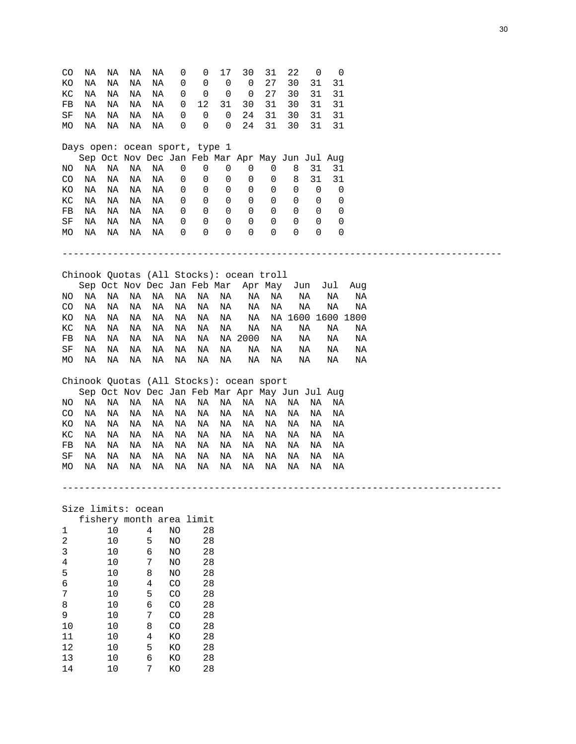| CO<br>ΚO<br>КC | ΝA<br>ΝA<br>ΝA | ΝA<br>ΝA<br>ΝA | ΝA<br>ΝA<br>ΝA     | ΝA<br>ΝA<br>ΝA | 0<br>0<br>0     | 0<br>0<br>0                    | 17<br>0<br>0 | 30<br>0<br>0                                    | 31<br>27<br>27 | 22<br>30<br>30 | 0<br>31<br>31 | 0<br>31<br>31     |     |  |  |  |  |
|----------------|----------------|----------------|--------------------|----------------|-----------------|--------------------------------|--------------|-------------------------------------------------|----------------|----------------|---------------|-------------------|-----|--|--|--|--|
| FB             | ΝA             | ΝA             | ΝA                 | NA             | 0               | 12                             | 31           | 30                                              | 31             | 30             | 31            | 31                |     |  |  |  |  |
| $\rm SF$       | ΝA             | ΝA             | ΝA                 | ΝA             | 0               | 0                              | 0            | 24                                              | 31             | 30             | 31            | 31                |     |  |  |  |  |
| МO             | ΝA             | ΝA             | ΝA                 | ΝA             | 0               | 0                              | 0            | 24                                              | 31             | 30             | 31            | 31                |     |  |  |  |  |
|                |                |                |                    |                |                 |                                |              |                                                 |                |                |               |                   |     |  |  |  |  |
|                |                |                |                    |                |                 | Days open: ocean sport, type 1 |              |                                                 |                |                |               |                   |     |  |  |  |  |
|                |                |                |                    |                |                 |                                |              | Sep Oct Nov Dec Jan Feb Mar Apr May Jun Jul Aug |                |                |               |                   |     |  |  |  |  |
| ΝO             | ΝA             | ΝA             | ΝA                 | ΝA             | 0               | 0                              | 0            | 0                                               | 0              | 8              | 31            | 31                |     |  |  |  |  |
| CO             | ΝA             | ΝA             | ΝA                 | ΝA             | 0               | 0                              | 0            | 0                                               | 0              | 8              | 31            | 31                |     |  |  |  |  |
| ΚO             | ΝA             | ΝA             | ΝA                 | ΝA             | 0               | 0                              | 0            | 0                                               | 0              | 0              | 0             | 0                 |     |  |  |  |  |
| КC             | ΝA             | ΝA             | ΝA                 | NA             | 0               | 0                              | 0            | 0                                               | 0              | 0              | 0             | 0                 |     |  |  |  |  |
| FB             | ΝA             | ΝA             | ΝA                 | ΝA             | 0               | 0                              | 0            | 0                                               | 0              | 0              | 0             | 0                 |     |  |  |  |  |
| SF             | ΝA             | ΝA             | ΝA                 | ΝA             | 0               | 0                              | 0            | 0                                               | 0              | 0              | 0             | 0                 |     |  |  |  |  |
| МO             | ΝA             | ΝA             | ΝA                 | ΝA             | 0               | $\mathbf 0$                    | 0            | $\overline{0}$                                  | 0              | 0              | $\Omega$      | $\mathbf 0$       |     |  |  |  |  |
|                |                |                |                    |                |                 |                                |              |                                                 |                |                |               |                   |     |  |  |  |  |
|                |                |                |                    |                |                 |                                |              |                                                 |                |                |               |                   |     |  |  |  |  |
|                |                |                |                    |                |                 |                                |              |                                                 |                |                |               |                   |     |  |  |  |  |
|                |                |                |                    |                |                 |                                |              | Chinook Quotas (All Stocks): ocean troll        |                |                |               |                   |     |  |  |  |  |
|                |                |                |                    |                |                 | Sep Oct Nov Dec Jan Feb Mar    |              |                                                 | Apr May        |                | Jun           | Jul               | Aug |  |  |  |  |
| NO.            | ΝA             | ΝA             | ΝA                 | ΝA             | ΝA              | ΝA                             | ΝA           | ΝA                                              | ΝA             |                | ΝA            | ΝA                | ΝA  |  |  |  |  |
| CO             | ΝA             | ΝA             | ΝA                 | ΝA             | ΝA              | ΝA                             | ΝA           | ΝA                                              | ΝA             |                | ΝA            | ΝA                | ΝA  |  |  |  |  |
| ΚO             | ΝA             | ΝA             | ΝA                 | ΝA             | ΝA              | ΝA                             | ΝA           | ΝA                                              |                |                |               | NA 1600 1600 1800 |     |  |  |  |  |
| КC             | ΝA             | ΝA             | ΝA                 | ΝA             | ΝA              | ΝA                             | ΝA           | ΝA                                              | ΝA             |                | ΝA            | ΝA                | ΝA  |  |  |  |  |
| FB             | ΝA             | ΝA             | ΝA                 | ΝA             | ΝA              | ΝA                             |              | NA 2000                                         | ΝA             |                | ΝA            | ΝA                | ΝA  |  |  |  |  |
| SF             | ΝA             | ΝA             | ΝA                 | ΝA             | ΝA              | ΝA                             | ΝA           | ΝA                                              | ΝA             |                | ΝA            | ΝA                | ΝA  |  |  |  |  |
| MO             | ΝA             | ΝA             | ΝA                 | ΝA             | ΝA              | ΝA                             | ΝA           | ΝA                                              | ΝA             |                | ΝA            | ΝA                | ΝA  |  |  |  |  |
|                |                |                |                    |                |                 |                                |              |                                                 |                |                |               |                   |     |  |  |  |  |
|                |                |                |                    |                |                 |                                |              | Chinook Quotas (All Stocks): ocean sport        |                |                |               |                   |     |  |  |  |  |
|                |                |                |                    |                |                 |                                |              | Sep Oct Nov Dec Jan Feb Mar Apr May Jun Jul Aug |                |                |               |                   |     |  |  |  |  |
| ΝO             | ΝA             | ΝA             | ΝA                 | ΝA             | ΝA              | ΝA                             | ΝA           | ΝA                                              | ΝA             | ΝA             | ΝA            | ΝA                |     |  |  |  |  |
| CO             | ΝA             | ΝA             | ΝA                 | ΝA             | ΝA              | ΝA                             | ΝA           | ΝA                                              | ΝA             | ΝA             | ΝA            | ΝA                |     |  |  |  |  |
| ΚO             | ΝA             | ΝA             | ΝA                 | ΝA             | ΝA              | ΝA                             | ΝA           | ΝA                                              | ΝA             | ΝA             | ΝA            | ΝA                |     |  |  |  |  |
| КC             | ΝA             | ΝA             | ΝA                 | ΝA             | ΝA              | ΝA                             | ΝA           | ΝA                                              | ΝA             | ΝA             | ΝA            | ΝA                |     |  |  |  |  |
| FB             | ΝA             | ΝA             | ΝA                 | ΝA             | ΝA              | ΝA                             | ΝA           | ΝA                                              | ΝA             | ΝA             | ΝA            | ΝA                |     |  |  |  |  |
| SF             | ΝA             | ΝA             | ΝA                 | ΝA             | ΝA              | ΝA                             | ΝA           | ΝA                                              | ΝA             | ΝA             | ΝA            | ΝA                |     |  |  |  |  |
| МO             | ΝA             | ΝA             | ΝA                 | ΝA             | ΝA              | ΝA                             | ΝA           | ΝA                                              | ΝA             | ΝA             | ΝA            | ΝA                |     |  |  |  |  |
|                |                |                |                    |                |                 |                                |              |                                                 |                |                |               |                   |     |  |  |  |  |
|                |                |                |                    |                |                 |                                |              |                                                 |                |                |               |                   |     |  |  |  |  |
|                |                |                |                    |                |                 |                                |              |                                                 |                |                |               |                   |     |  |  |  |  |
|                |                |                | Size limits: ocean |                |                 |                                |              |                                                 |                |                |               |                   |     |  |  |  |  |
|                |                |                |                    |                |                 | fishery month area limit       |              |                                                 |                |                |               |                   |     |  |  |  |  |
| 1              |                | 10             |                    | 4              | NO              | 28                             |              |                                                 |                |                |               |                   |     |  |  |  |  |
| $\sqrt{2}$     |                | 10             |                    | 5              | NO              | 28                             |              |                                                 |                |                |               |                   |     |  |  |  |  |
| 3              |                | 10             |                    | 6              | NO              | 28                             |              |                                                 |                |                |               |                   |     |  |  |  |  |
| 4              |                | 10             |                    | 7              | NO.             | 28                             |              |                                                 |                |                |               |                   |     |  |  |  |  |
| E              |                | 1 <sub>0</sub> |                    | $\Omega$       | NT <sub>O</sub> | 29                             |              |                                                 |                |                |               |                   |     |  |  |  |  |

| 4  | 10 | 7 | NO | 28 |
|----|----|---|----|----|
| 5  | 10 | 8 | NO | 28 |
| 6  | 10 | 4 | CO | 28 |
| 7  | 10 | 5 | CO | 28 |
| 8  | 10 | 6 | CO | 28 |
| 9  | 10 | 7 | CO | 28 |
| 10 | 10 | 8 | CO | 28 |
| 11 | 10 | 4 | KΟ | 28 |
| 12 | 10 | 5 | KΟ | 28 |
| 13 | 10 | 6 | KΟ | 28 |
| 14 | 10 | 7 | KΟ | 28 |
|    |    |   |    |    |